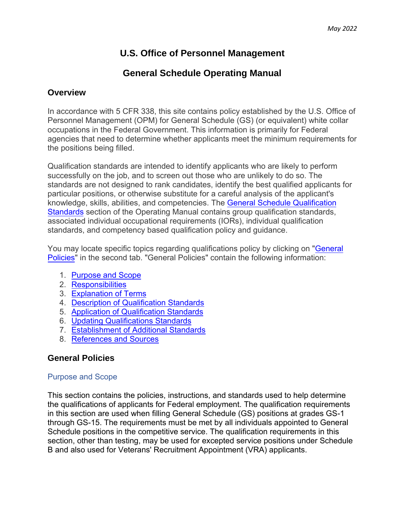# **U.S. Office of Personnel Management**

# **General Schedule Operating Manual**

## **Overview**

In accordance with 5 CFR 338, this site contains policy established by the U.S. Office of Personnel Management (OPM) for General Schedule (GS) (or equivalent) white collar occupations in the Federal Government. This information is primarily for Federal agencies that need to determine whether applicants meet the minimum requirements for the positions being filled.

Qualification standards are intended to identify applicants who are likely to perform successfully on the job, and to screen out those who are unlikely to do so. The standards are not designed to rank candidates, identify the best qualified applicants for particular positions, or otherwise substitute for a careful analysis of the applicant's knowledge, skills, abilities, and competencies. The [General Schedule Qualification](https://www.opm.gov/policy-data-oversight/classification-qualifications/general-schedule-qualification-standards/)  [Standards](https://www.opm.gov/policy-data-oversight/classification-qualifications/general-schedule-qualification-standards/) section of the Operating Manual contains group qualification standards, associated individual occupational requirements (IORs), individual qualification standards, and competency based qualification policy and guidance.

You may locate specific topics regarding qualifications policy by clicking on ["General](https://www.opm.gov/policy-data-oversight/classification-qualifications/general-schedule-qualification-policies/tabs/general-policies/)  [Policies"](https://www.opm.gov/policy-data-oversight/classification-qualifications/general-schedule-qualification-policies/tabs/general-policies/) in the second tab. "General Policies" contain the following information:

- 1. [Purpose and Scope](https://www.opm.gov/policy-data-oversight/classification-qualifications/general-schedule-qualification-policies/#purpose)
- 2. [Responsibilities](https://www.opm.gov/policy-data-oversight/classification-qualifications/general-schedule-qualification-policies/#resp)
- 3. [Explanation of Terms](https://www.opm.gov/policy-data-oversight/classification-qualifications/general-schedule-qualification-policies/#exp)
- 4. [Description of Qualification Standards](https://www.opm.gov/policy-data-oversight/classification-qualifications/general-schedule-qualification-policies/#desc)
- 5. [Application of Qualification Standards](https://www.opm.gov/policy-data-oversight/classification-qualifications/general-schedule-qualification-policies/#app)
- 6. [Updating Qualifications Standards](https://www.opm.gov/policy-data-oversight/classification-qualifications/general-schedule-qualification-policies/#update)
- 7. [Establishment of Additional Standards](https://www.opm.gov/policy-data-oversight/classification-qualifications/general-schedule-qualification-policies/#estb)
- 8. [References and Sources](https://www.opm.gov/policy-data-oversight/classification-qualifications/general-schedule-qualification-policies/#ref)

# **General Policies**

### Purpose and Scope

This section contains the policies, instructions, and standards used to help determine the qualifications of applicants for Federal employment. The qualification requirements in this section are used when filling General Schedule (GS) positions at grades GS-1 through GS-15. The requirements must be met by all individuals appointed to General Schedule positions in the competitive service. The qualification requirements in this section, other than testing, may be used for excepted service positions under Schedule B and also used for Veterans' Recruitment Appointment (VRA) applicants.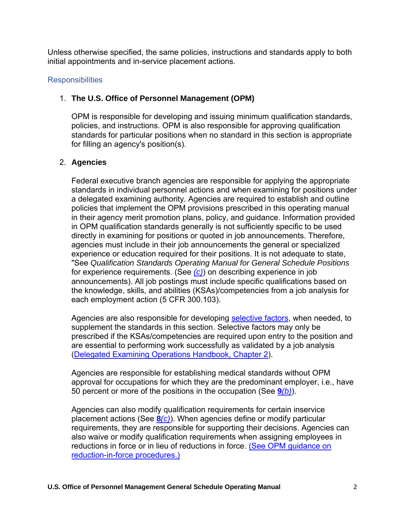Unless otherwise specified, the same policies, instructions and standards apply to both initial appointments and in-service placement actions.

### **Responsibilities**

### 1. **The U.S. Office of Personnel Management (OPM)**

OPM is responsible for developing and issuing minimum qualification standards, policies, and instructions. OPM is also responsible for approving qualification standards for particular positions when no standard in this section is appropriate for filling an agency's position(s).

## 2. **Agencies**

Federal executive branch agencies are responsible for applying the appropriate standards in individual personnel actions and when examining for positions under a delegated examining authority. Agencies are required to establish and outline policies that implement the OPM provisions prescribed in this operating manual in their agency merit promotion plans, policy, and guidance. Information provided in OPM qualification standards generally is not sufficiently specific to be used directly in examining for positions or quoted in job announcements. Therefore, agencies must include in their job announcements the general or specialized experience or education required for their positions. It is not adequate to state, "See *Qualification Standards Operating Manual for General Schedule Positions* for experience requirements. (See *[\(c\)](https://www.opm.gov/policy-data-oversight/classification-qualifications/general-schedule-qualification-policies/#e3)*) on describing experience in job announcements). All job postings must include specific qualifications based on the knowledge, skills, and abilities (KSAs)/competencies from a job analysis for each employment action (5 CFR 300.103).

Agencies are also responsible for developing [selective factors,](https://www.opm.gov/policy-data-oversight/classification-qualifications/general-schedule-qualification-policies/#e6) when needed, to supplement the standards in this section. Selective factors may only be prescribed if the KSAs/competencies are required upon entry to the position and are essential to performing work successfully as validated by a job analysis [\(Delegated Examining Operations Handbook, Chapter 2\)](https://www.opm.gov/policy-data-oversight/hiring-information/competitive-hiring/deo_handbook.pdf).

Agencies are responsible for establishing medical standards without OPM approval for occupations for which they are the predominant employer, i.e., have 50 percent or more of the positions in the occupation (See **9***[\(b\)](https://www.opm.gov/policy-data-oversight/classification-qualifications/general-schedule-qualification-policies/#e9b)*).

Agencies can also modify qualification requirements for certain inservice placement actions (See **8***[\(c\)](https://www.opm.gov/policy-data-oversight/classification-qualifications/general-schedule-qualification-policies/#e8c)*). When agencies define or modify particular requirements, they are responsible for supporting their decisions. Agencies can also waive or modify qualification requirements when assigning employees in reductions in force or in lieu of reductions in force. (See OPM quidance on [reduction-in-force procedures.\)](https://www.opm.gov/policy-data-oversight/workforce-restructuring/reductions-in-force/)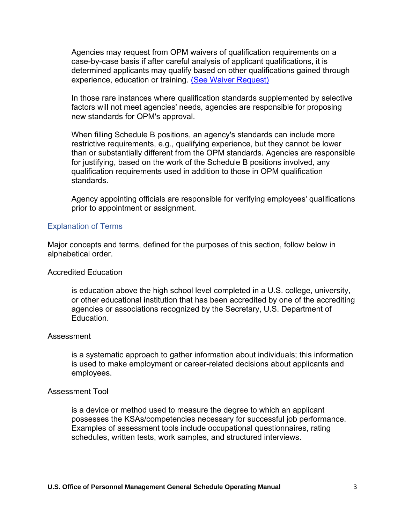Agencies may request from OPM waivers of qualification requirements on a case-by-case basis if after careful analysis of applicant qualifications, it is determined applicants may qualify based on other qualifications gained through experience, education or training. [\(See Waiver Request\)](#page-2-0)

<span id="page-2-0"></span>In those rare instances where qualification standards supplemented by selective factors will not meet agencies' needs, agencies are responsible for proposing new standards for OPM's approval.

When filling Schedule B positions, an agency's standards can include more restrictive requirements, e.g., qualifying experience, but they cannot be lower than or substantially different from the OPM standards. Agencies are responsible for justifying, based on the work of the Schedule B positions involved, any qualification requirements used in addition to those in OPM qualification standards.

Agency appointing officials are responsible for verifying employees' qualifications prior to appointment or assignment.

#### Explanation of Terms

Major concepts and terms, defined for the purposes of this section, follow below in alphabetical order.

#### Accredited Education

is education above the high school level completed in a U.S. college, university, or other educational institution that has been accredited by one of the accrediting agencies or associations recognized by the Secretary, U.S. Department of Education.

#### Assessment

is a systematic approach to gather information about individuals; this information is used to make employment or career-related decisions about applicants and employees.

#### Assessment Tool

is a device or method used to measure the degree to which an applicant possesses the KSAs/competencies necessary for successful job performance. Examples of assessment tools include occupational questionnaires, rating schedules, written tests, work samples, and structured interviews.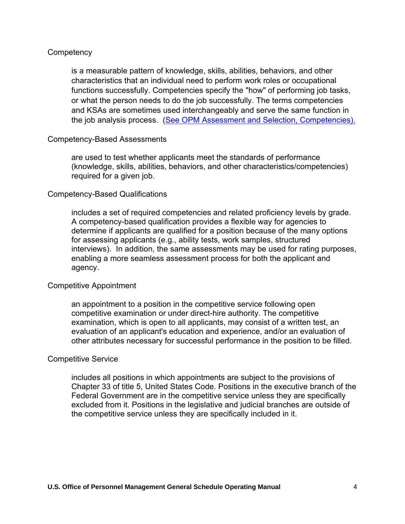### **Competency**

is a measurable pattern of knowledge, skills, abilities, behaviors, and other characteristics that an individual need to perform work roles or occupational functions successfully. Competencies specify the "how" of performing job tasks, or what the person needs to do the job successfully. The terms competencies and KSAs are sometimes used interchangeably and serve the same function in the job analysis process. [\(See OPM Assessment and Selection, Competencies\).](https://www.opm.gov/policy-data-oversight/assessment-and-selection/competencies/)

### Competency-Based Assessments

are used to test whether applicants meet the standards of performance (knowledge, skills, abilities, behaviors, and other characteristics/competencies) required for a given job.

### Competency-Based Qualifications

includes a set of required competencies and related proficiency levels by grade. A competency-based qualification provides a flexible way for agencies to determine if applicants are qualified for a position because of the many options for assessing applicants (e.g., ability tests, work samples, structured interviews). In addition, the same assessments may be used for rating purposes, enabling a more seamless assessment process for both the applicant and agency.

### Competitive Appointment

an appointment to a position in the competitive service following open competitive examination or under direct-hire authority. The competitive examination, which is open to all applicants, may consist of a written test, an evaluation of an applicant's education and experience, and/or an evaluation of other attributes necessary for successful performance in the position to be filled.

### Competitive Service

includes all positions in which appointments are subject to the provisions of Chapter 33 of title 5, United States Code. Positions in the executive branch of the Federal Government are in the competitive service unless they are specifically excluded from it. Positions in the legislative and judicial branches are outside of the competitive service unless they are specifically included in it.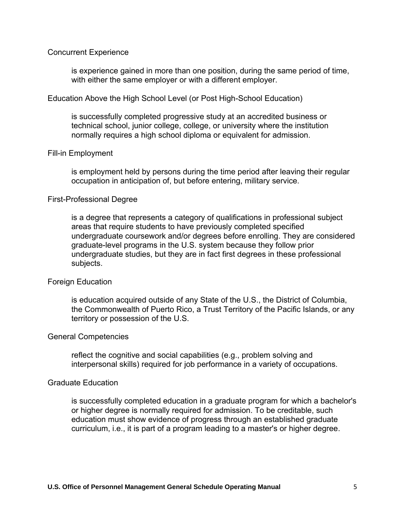#### Concurrent Experience

is experience gained in more than one position, during the same period of time, with either the same employer or with a different employer.

#### Education Above the High School Level (or Post High-School Education)

is successfully completed progressive study at an accredited business or technical school, junior college, college, or university where the institution normally requires a high school diploma or equivalent for admission.

#### Fill-in Employment

is employment held by persons during the time period after leaving their regular occupation in anticipation of, but before entering, military service.

#### First-Professional Degree

is a degree that represents a category of qualifications in professional subject areas that require students to have previously completed specified undergraduate coursework and/or degrees before enrolling. They are considered graduate-level programs in the U.S. system because they follow prior undergraduate studies, but they are in fact first degrees in these professional subjects.

### Foreign Education

is education acquired outside of any State of the U.S., the District of Columbia, the Commonwealth of Puerto Rico, a Trust Territory of the Pacific Islands, or any territory or possession of the U.S.

#### General Competencies

reflect the cognitive and social capabilities (e.g., problem solving and interpersonal skills) required for job performance in a variety of occupations.

#### Graduate Education

is successfully completed education in a graduate program for which a bachelor's or higher degree is normally required for admission. To be creditable, such education must show evidence of progress through an established graduate curriculum, i.e., it is part of a program leading to a master's or higher degree.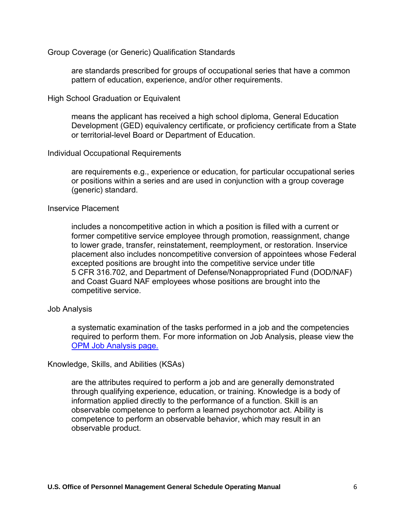Group Coverage (or Generic) Qualification Standards

are standards prescribed for groups of occupational series that have a common pattern of education, experience, and/or other requirements.

High School Graduation or Equivalent

means the applicant has received a high school diploma, General Education Development (GED) equivalency certificate, or proficiency certificate from a State or territorial-level Board or Department of Education.

#### Individual Occupational Requirements

are requirements e.g., experience or education, for particular occupational series or positions within a series and are used in conjunction with a group coverage (generic) standard.

#### Inservice Placement

includes a noncompetitive action in which a position is filled with a current or former competitive service employee through promotion, reassignment, change to lower grade, transfer, reinstatement, reemployment, or restoration. Inservice placement also includes noncompetitive conversion of appointees whose Federal excepted positions are brought into the competitive service under title 5 CFR 316.702, and Department of Defense/Nonappropriated Fund (DOD/NAF) and Coast Guard NAF employees whose positions are brought into the competitive service.

### Job Analysis

a systematic examination of the tasks performed in a job and the competencies required to perform them. For more information on Job Analysis, please view the [OPM Job Analysis page.](https://www.opm.gov/policy-data-oversight/assessment-and-selection/job-analysis/)

Knowledge, Skills, and Abilities (KSAs)

are the attributes required to perform a job and are generally demonstrated through qualifying experience, education, or training. Knowledge is a body of information applied directly to the performance of a function. Skill is an observable competence to perform a learned psychomotor act. Ability is competence to perform an observable behavior, which may result in an observable product.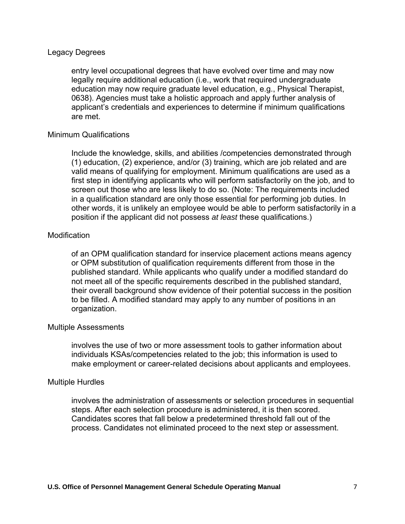#### Legacy Degrees

entry level occupational degrees that have evolved over time and may now legally require additional education (i.e., work that required undergraduate education may now require graduate level education, e.g., Physical Therapist, 0638). Agencies must take a holistic approach and apply further analysis of applicant's credentials and experiences to determine if minimum qualifications are met.

#### Minimum Qualifications

Include the knowledge, skills, and abilities /competencies demonstrated through (1) education, (2) experience, and/or (3) training, which are job related and are valid means of qualifying for employment. Minimum qualifications are used as a first step in identifying applicants who will perform satisfactorily on the job, and to screen out those who are less likely to do so. (Note: The requirements included in a qualification standard are only those essential for performing job duties. In other words, it is unlikely an employee would be able to perform satisfactorily in a position if the applicant did not possess *at least* these qualifications.)

#### **Modification**

of an OPM qualification standard for inservice placement actions means agency or OPM substitution of qualification requirements different from those in the published standard. While applicants who qualify under a modified standard do not meet all of the specific requirements described in the published standard, their overall background show evidence of their potential success in the position to be filled. A modified standard may apply to any number of positions in an organization.

#### Multiple Assessments

involves the use of two or more assessment tools to gather information about individuals KSAs/competencies related to the job; this information is used to make employment or career-related decisions about applicants and employees.

#### Multiple Hurdles

involves the administration of assessments or selection procedures in sequential steps. After each selection procedure is administered, it is then scored. Candidates scores that fall below a predetermined threshold fall out of the process. Candidates not eliminated proceed to the next step or assessment.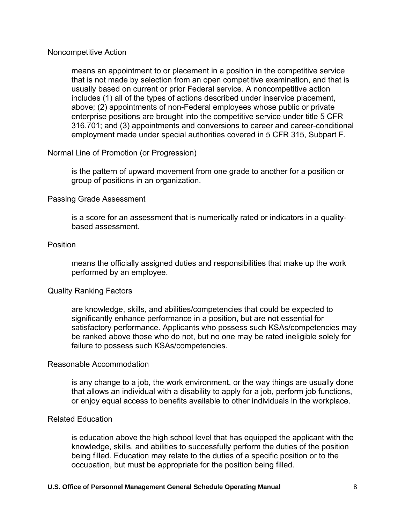#### Noncompetitive Action

means an appointment to or placement in a position in the competitive service that is not made by selection from an open competitive examination, and that is usually based on current or prior Federal service. A noncompetitive action includes (1) all of the types of actions described under inservice placement, above; (2) appointments of non-Federal employees whose public or private enterprise positions are brought into the competitive service under title 5 CFR 316.701; and (3) appointments and conversions to career and career-conditional employment made under special authorities covered in 5 CFR 315, Subpart F.

### Normal Line of Promotion (or Progression)

is the pattern of upward movement from one grade to another for a position or group of positions in an organization.

### Passing Grade Assessment

is a score for an assessment that is numerically rated or indicators in a qualitybased assessment.

#### **Position**

means the officially assigned duties and responsibilities that make up the work performed by an employee.

### Quality Ranking Factors

are knowledge, skills, and abilities/competencies that could be expected to significantly enhance performance in a position, but are not essential for satisfactory performance. Applicants who possess such KSAs/competencies may be ranked above those who do not, but no one may be rated ineligible solely for failure to possess such KSAs/competencies.

#### Reasonable Accommodation

is any change to a job, the work environment, or the way things are usually done that allows an individual with a disability to apply for a job, perform job functions, or enjoy equal access to benefits available to other individuals in the workplace.

#### Related Education

is education above the high school level that has equipped the applicant with the knowledge, skills, and abilities to successfully perform the duties of the position being filled. Education may relate to the duties of a specific position or to the occupation, but must be appropriate for the position being filled.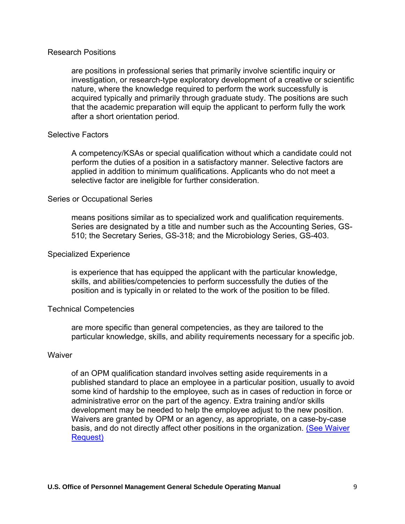#### Research Positions

are positions in professional series that primarily involve scientific inquiry or investigation, or research-type exploratory development of a creative or scientific nature, where the knowledge required to perform the work successfully is acquired typically and primarily through graduate study. The positions are such that the academic preparation will equip the applicant to perform fully the work after a short orientation period.

#### Selective Factors

A competency/KSAs or special qualification without which a candidate could not perform the duties of a position in a satisfactory manner. Selective factors are applied in addition to minimum qualifications. Applicants who do not meet a selective factor are ineligible for further consideration.

#### Series or Occupational Series

means positions similar as to specialized work and qualification requirements. Series are designated by a title and number such as the Accounting Series, GS-510; the Secretary Series, GS-318; and the Microbiology Series, GS-403.

#### Specialized Experience

is experience that has equipped the applicant with the particular knowledge, skills, and abilities/competencies to perform successfully the duties of the position and is typically in or related to the work of the position to be filled.

### Technical Competencies

are more specific than general competencies, as they are tailored to the particular knowledge, skills, and ability requirements necessary for a specific job.

#### **Waiver**

of an OPM qualification standard involves setting aside requirements in a published standard to place an employee in a particular position, usually to avoid some kind of hardship to the employee, such as in cases of reduction in force or administrative error on the part of the agency. Extra training and/or skills development may be needed to help the employee adjust to the new position. Waivers are granted by OPM or an agency, as appropriate, on a case-by-case basis, and do not directly affect other positions in the organization. [\(See Waiver](#page-2-0)  [Request\)](#page-2-0)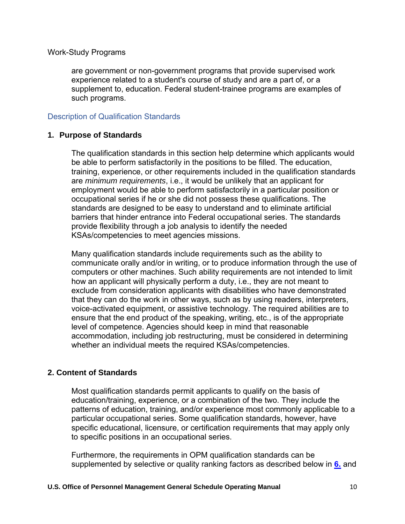### Work-Study Programs

are government or non-government programs that provide supervised work experience related to a student's course of study and are a part of, or a supplement to, education. Federal student-trainee programs are examples of such programs.

### Description of Qualification Standards

### **1. Purpose of Standards**

The qualification standards in this section help determine which applicants would be able to perform satisfactorily in the positions to be filled. The education, training, experience, or other requirements included in the qualification standards are *minimum requirements*, i.e., it would be unlikely that an applicant for employment would be able to perform satisfactorily in a particular position or occupational series if he or she did not possess these qualifications. The standards are designed to be easy to understand and to eliminate artificial barriers that hinder entrance into Federal occupational series. The standards provide flexibility through a job analysis to identify the needed KSAs/competencies to meet agencies missions.

Many qualification standards include requirements such as the ability to communicate orally and/or in writing, or to produce information through the use of computers or other machines. Such ability requirements are not intended to limit how an applicant will physically perform a duty, i.e., they are not meant to exclude from consideration applicants with disabilities who have demonstrated that they can do the work in other ways, such as by using readers, interpreters, voice-activated equipment, or assistive technology. The required abilities are to ensure that the end product of the speaking, writing, etc., is of the appropriate level of competence. Agencies should keep in mind that reasonable accommodation, including job restructuring, must be considered in determining whether an individual meets the required KSAs/competencies.

### **2. Content of Standards**

Most qualification standards permit applicants to qualify on the basis of education/training, experience, or a combination of the two. They include the patterns of education, training, and/or experience most commonly applicable to a particular occupational series. Some qualification standards, however, have specific educational, licensure, or certification requirements that may apply only to specific positions in an occupational series.

Furthermore, the requirements in OPM qualification standards can be supplemented by selective or quality ranking factors as described below in **[6.](https://www.opm.gov/policy-data-oversight/classification-qualifications/general-schedule-qualification-policies/#e6)** and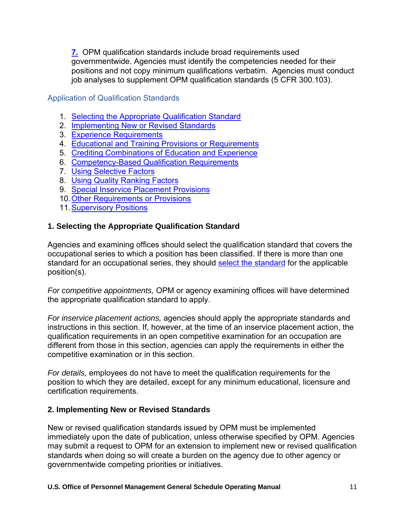**[7.](https://www.opm.gov/policy-data-oversight/classification-qualifications/general-schedule-qualification-policies/#e7)** OPM qualification standards include broad requirements used governmentwide. Agencies must identify the competencies needed for their positions and not copy minimum qualifications verbatim. Agencies must conduct job analyses to supplement OPM qualification standards (5 CFR 300.103).

Application of Qualification Standards

- 1. [Selecting the Appropriate Qualification Standard](https://www.opm.gov/policy-data-oversight/classification-qualifications/general-schedule-qualification-policies/#e1)
- 2. [Implementing New or Revised Standards](https://www.opm.gov/policy-data-oversight/classification-qualifications/general-schedule-qualification-policies/#e2)
- 3. [Experience Requirements](https://www.opm.gov/policy-data-oversight/classification-qualifications/general-schedule-qualification-policies/#e3)
- 4. [Educational and Training Provisions or Requirements](https://www.opm.gov/policy-data-oversight/classification-qualifications/general-schedule-qualification-policies/#e4)
- 5. [Crediting Combinations of Education and Experience](https://www.opm.gov/policy-data-oversight/classification-qualifications/general-schedule-qualification-policies/#e5)
- <span id="page-10-0"></span>6. [Competency-Based Qualification Requirements](#page-10-0)
- 7. [Using Selective Factors](https://www.opm.gov/policy-data-oversight/classification-qualifications/general-schedule-qualification-policies/#e6)
- 8. [Using Quality Ranking Factors](https://www.opm.gov/policy-data-oversight/classification-qualifications/general-schedule-qualification-policies/#e7)
- 9. [Special Inservice Placement Provisions](https://www.opm.gov/policy-data-oversight/classification-qualifications/general-schedule-qualification-policies/#e8)
- 10[.Other Requirements or Provisions](https://www.opm.gov/policy-data-oversight/classification-qualifications/general-schedule-qualification-policies/#e9)
- 11. Supervisory Positions

## **1. Selecting the Appropriate Qualification Standard**

Agencies and examining offices should select the qualification standard that covers the occupational series to which a position has been classified. If there is more than one standard for an occupational series, they should [select the standard](https://www.opm.gov/policy-data-oversight/classification-qualifications/general-schedule-qualification-standards/tabs/list-by-occupational-series/) for the applicable position(s).

*For competitive appointments,* OPM or agency examining offices will have determined the appropriate qualification standard to apply.

*For inservice placement actions,* agencies should apply the appropriate standards and instructions in this section. If, however, at the time of an inservice placement action, the qualification requirements in an open competitive examination for an occupation are different from those in this section, agencies can apply the requirements in either the competitive examination or in this section.

*For details,* employees do not have to meet the qualification requirements for the position to which they are detailed, except for any minimum educational, licensure and certification requirements.

### **2. Implementing New or Revised Standards**

New or revised qualification standards issued by OPM must be implemented immediately upon the date of publication, unless otherwise specified by OPM. Agencies may submit a request to OPM for an extension to implement new or revised qualification standards when doing so will create a burden on the agency due to other agency or governmentwide competing priorities or initiatives.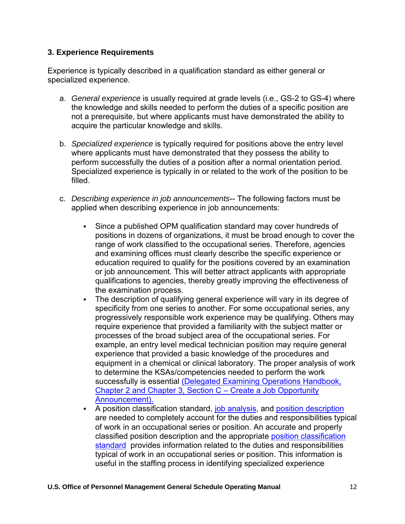### **3. Experience Requirements**

Experience is typically described in a qualification standard as either general or specialized experience.

- a. *General experience* is usually required at grade levels (i.e., GS-2 to GS-4) where the knowledge and skills needed to perform the duties of a specific position are not a prerequisite, but where applicants must have demonstrated the ability to acquire the particular knowledge and skills.
- b. *Specialized experience* is typically required for positions above the entry level where applicants must have demonstrated that they possess the ability to perform successfully the duties of a position after a normal orientation period. Specialized experience is typically in or related to the work of the position to be filled.
- c. *Describing experience in job announcements*-- The following factors must be applied when describing experience in job announcements:
	- Since a published OPM qualification standard may cover hundreds of positions in dozens of organizations, it must be broad enough to cover the range of work classified to the occupational series. Therefore, agencies and examining offices must clearly describe the specific experience or education required to qualify for the positions covered by an examination or job announcement. This will better attract applicants with appropriate qualifications to agencies, thereby greatly improving the effectiveness of the examination process.
	- The description of qualifying general experience will vary in its degree of specificity from one series to another. For some occupational series, any progressively responsible work experience may be qualifying. Others may require experience that provided a familiarity with the subject matter or processes of the broad subject area of the occupational series. For example, an entry level medical technician position may require general experience that provided a basic knowledge of the procedures and equipment in a chemical or clinical laboratory. The proper analysis of work to determine the KSAs/competencies needed to perform the work successfully is essential [\(Delegated Examining Operations Handbook,](https://www.opm.gov/policy-data-oversight/hiring-information/competitive-hiring/deo_handbook.pdf) [Chapter 2 and Chapter 3, Section C – Create a Job Opportunity](https://www.opm.gov/policy-data-oversight/hiring-information/competitive-hiring/deo_handbook.pdf) [Announcement\).](https://www.opm.gov/policy-data-oversight/hiring-information/competitive-hiring/deo_handbook.pdf)
	- **EXE** A position classification standard, [job analysis,](https://www.opm.gov/policy-data-oversight/assessment-and-selection/job-analysis/) and [position description](https://www.opm.gov/policy-data-oversight/classification-qualifications/classifying-general-schedule-positions/classifierhandbook.pdf) are needed to completely account for the duties and responsibilities typical of work in an occupational series or position. An accurate and properly classified position description and the appropriate [position classification](https://www.opm.gov/policy-data-oversight/classification-qualifications/classifying-general-schedule-positions/tabs/standards/) [standard](https://www.opm.gov/policy-data-oversight/classification-qualifications/classifying-general-schedule-positions/tabs/standards/) provides information related to the duties and responsibilities typical of work in an occupational series or position. This information is useful in the staffing process in identifying specialized experience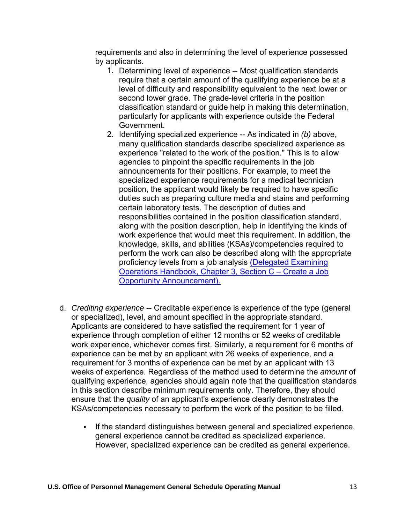requirements and also in determining the level of experience possessed by applicants.

- 1. Determining level of experience -- Most qualification standards require that a certain amount of the qualifying experience be at a level of difficulty and responsibility equivalent to the next lower or second lower grade. The grade-level criteria in the position classification standard or guide help in making this determination, particularly for applicants with experience outside the Federal Government.
- 2. Identifying specialized experience -- As indicated in *(b)* above, many qualification standards describe specialized experience as experience "related to the work of the position." This is to allow agencies to pinpoint the specific requirements in the job announcements for their positions. For example, to meet the specialized experience requirements for a medical technician position, the applicant would likely be required to have specific duties such as preparing culture media and stains and performing certain laboratory tests. The description of duties and responsibilities contained in the position classification standard, along with the position description, help in identifying the kinds of work experience that would meet this requirement. In addition, the knowledge, skills, and abilities (KSAs)/competencies required to perform the work can also be described along with the appropriate proficiency levels from a job analysis [\(Delegated Examining](https://www.opm.gov/policy-data-oversight/hiring-information/competitive-hiring/deo_handbook.pdf) [Operations Handbook, Chapter 3, Section C – Create a Job](https://www.opm.gov/policy-data-oversight/hiring-information/competitive-hiring/deo_handbook.pdf) [Opportunity Announcement\).](https://www.opm.gov/policy-data-oversight/hiring-information/competitive-hiring/deo_handbook.pdf)
- d. *Crediting experience* -- Creditable experience is experience of the type (general or specialized), level, and amount specified in the appropriate standard. Applicants are considered to have satisfied the requirement for 1 year of experience through completion of either 12 months or 52 weeks of creditable work experience, whichever comes first. Similarly, a requirement for 6 months of experience can be met by an applicant with 26 weeks of experience, and a requirement for 3 months of experience can be met by an applicant with 13 weeks of experience. Regardless of the method used to determine the *amount* of qualifying experience, agencies should again note that the qualification standards in this section describe minimum requirements only. Therefore, they should ensure that the *quality* of an applicant's experience clearly demonstrates the KSAs/competencies necessary to perform the work of the position to be filled.
	- If the standard distinguishes between general and specialized experience, general experience cannot be credited as specialized experience. However, specialized experience can be credited as general experience.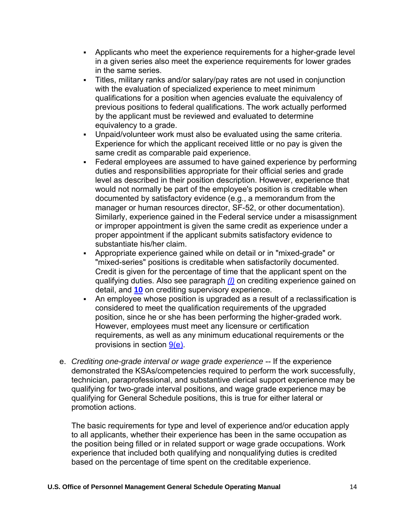- **EXED** Applicants who meet the experience requirements for a higher-grade level in a given series also meet the experience requirements for lower grades in the same series.
- Titles, military ranks and/or salary/pay rates are not used in conjunction with the evaluation of specialized experience to meet minimum qualifications for a position when agencies evaluate the equivalency of previous positions to federal qualifications. The work actually performed by the applicant must be reviewed and evaluated to determine equivalency to a grade.
- Unpaid/volunteer work must also be evaluated using the same criteria. Experience for which the applicant received little or no pay is given the same credit as comparable paid experience.
- Federal employees are assumed to have gained experience by performing duties and responsibilities appropriate for their official series and grade level as described in their position description. However, experience that would not normally be part of the employee's position is creditable when documented by satisfactory evidence (e.g., a memorandum from the manager or human resources director, SF-52, or other documentation). Similarly, experience gained in the Federal service under a misassignment or improper appointment is given the same credit as experience under a proper appointment if the applicant submits satisfactory evidence to substantiate his/her claim.
- Appropriate experience gained while on detail or in "mixed-grade" or "mixed-series" positions is creditable when satisfactorily documented. Credit is given for the percentage of time that the applicant spent on the qualifying duties. Also see paragraph *[\(l\)](https://www.opm.gov/policy-data-oversight/classification-qualifications/general-schedule-qualification-policies/#e3l)* on crediting experience gained on detail, and **[10](https://www.opm.gov/policy-data-oversight/classification-qualifications/general-schedule-qualification-policies/#e10)** on crediting supervisory experience.
- An employee whose position is upgraded as a result of a reclassification is considered to meet the qualification requirements of the upgraded position, since he or she has been performing the higher-graded work. However, employees must meet any licensure or certification requirements, as well as any minimum educational requirements or the provisions in section [9\(e\).](https://www.opm.gov/policy-data-oversight/classification-qualifications/general-schedule-qualification-policies/#e9)
- e. *Crediting one-grade interval or wage grade experience* -- If the experience demonstrated the KSAs/competencies required to perform the work successfully, technician, paraprofessional, and substantive clerical support experience may be qualifying for two-grade interval positions, and wage grade experience may be qualifying for General Schedule positions, this is true for either lateral or promotion actions.

The basic requirements for type and level of experience and/or education apply to all applicants, whether their experience has been in the same occupation as the position being filled or in related support or wage grade occupations. Work experience that included both qualifying and nonqualifying duties is credited based on the percentage of time spent on the creditable experience.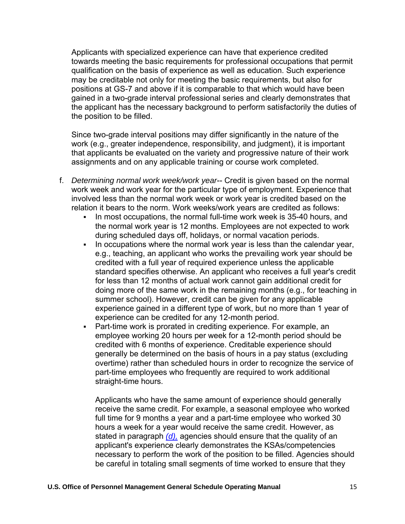Applicants with specialized experience can have that experience credited towards meeting the basic requirements for professional occupations that permit qualification on the basis of experience as well as education. Such experience may be creditable not only for meeting the basic requirements, but also for positions at GS-7 and above if it is comparable to that which would have been gained in a two-grade interval professional series and clearly demonstrates that the applicant has the necessary background to perform satisfactorily the duties of the position to be filled.

Since two-grade interval positions may differ significantly in the nature of the work (e.g., greater independence, responsibility, and judgment), it is important that applicants be evaluated on the variety and progressive nature of their work assignments and on any applicable training or course work completed.

- f. *Determining normal work week/work year*-- Credit is given based on the normal work week and work year for the particular type of employment. Experience that involved less than the normal work week or work year is credited based on the relation it bears to the norm. Work weeks/work years are credited as follows:
	- In most occupations, the normal full-time work week is 35-40 hours, and the normal work year is 12 months. Employees are not expected to work during scheduled days off, holidays, or normal vacation periods.
	- **.** In occupations where the normal work year is less than the calendar year, e.g., teaching, an applicant who works the prevailing work year should be credited with a full year of required experience unless the applicable standard specifies otherwise. An applicant who receives a full year's credit for less than 12 months of actual work cannot gain additional credit for doing more of the same work in the remaining months (e.g., for teaching in summer school). However, credit can be given for any applicable experience gained in a different type of work, but no more than 1 year of experience can be credited for any 12-month period.
	- Part-time work is prorated in crediting experience. For example, an employee working 20 hours per week for a 12-month period should be credited with 6 months of experience. Creditable experience should generally be determined on the basis of hours in a pay status (excluding overtime) rather than scheduled hours in order to recognize the service of part-time employees who frequently are required to work additional straight-time hours.

Applicants who have the same amount of experience should generally receive the same credit. For example, a seasonal employee who worked full time for 9 months a year and a part-time employee who worked 30 hours a week for a year would receive the same credit. However, as stated in paragraph *[\(d\),](https://www.opm.gov/policy-data-oversight/classification-qualifications/general-schedule-qualification-policies/#e3d)* agencies should ensure that the quality of an applicant's experience clearly demonstrates the KSAs/competencies necessary to perform the work of the position to be filled. Agencies should be careful in totaling small segments of time worked to ensure that they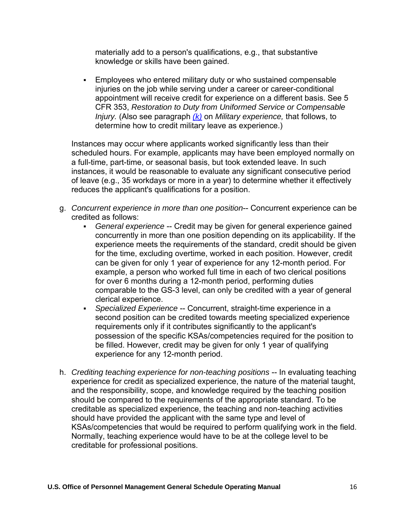materially add to a person's qualifications, e.g., that substantive knowledge or skills have been gained.

**Employees who entered military duty or who sustained compensable** injuries on the job while serving under a career or career-conditional appointment will receive credit for experience on a different basis. See 5 CFR 353, *Restoration to Duty from Uniformed Service or Compensable Injury.* (Also see paragraph *[\(k\)](https://www.opm.gov/policy-data-oversight/classification-qualifications/general-schedule-qualification-policies/#e3k)* on *Military experience,* that follows, to determine how to credit military leave as experience.)

Instances may occur where applicants worked significantly less than their scheduled hours. For example, applicants may have been employed normally on a full-time, part-time, or seasonal basis, but took extended leave. In such instances, it would be reasonable to evaluate any significant consecutive period of leave (e.g., 35 workdays or more in a year) to determine whether it effectively reduces the applicant's qualifications for a position.

- g. *Concurrent experience in more than one position*-- Concurrent experience can be credited as follows:
	- *General experience* -- Credit may be given for general experience gained concurrently in more than one position depending on its applicability. If the experience meets the requirements of the standard, credit should be given for the time, excluding overtime, worked in each position. However, credit can be given for only 1 year of experience for any 12-month period. For example, a person who worked full time in each of two clerical positions for over 6 months during a 12-month period, performing duties comparable to the GS-3 level, can only be credited with a year of general clerical experience.
	- *Specialized Experience* -- Concurrent, straight-time experience in a second position can be credited towards meeting specialized experience requirements only if it contributes significantly to the applicant's possession of the specific KSAs/competencies required for the position to be filled. However, credit may be given for only 1 year of qualifying experience for any 12-month period.
- h. *Crediting teaching experience for non-teaching positions* -- In evaluating teaching experience for credit as specialized experience, the nature of the material taught, and the responsibility, scope, and knowledge required by the teaching position should be compared to the requirements of the appropriate standard. To be creditable as specialized experience, the teaching and non-teaching activities should have provided the applicant with the same type and level of KSAs/competencies that would be required to perform qualifying work in the field. Normally, teaching experience would have to be at the college level to be creditable for professional positions.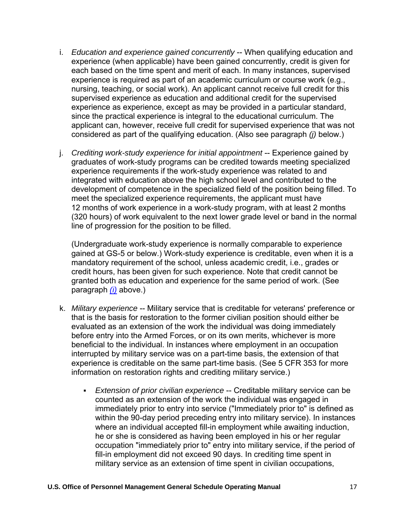- i. *Education and experience gained concurrently* -- When qualifying education and experience (when applicable) have been gained concurrently, credit is given for each based on the time spent and merit of each. In many instances, supervised experience is required as part of an academic curriculum or course work (e.g., nursing, teaching, or social work). An applicant cannot receive full credit for this supervised experience as education and additional credit for the supervised experience as experience, except as may be provided in a particular standard, since the practical experience is integral to the educational curriculum. The applicant can, however, receive full credit for supervised experience that was not considered as part of the qualifying education. (Also see paragraph *(j)* below.)
- j. *Crediting work-study experience for initial appointment* -- Experience gained by graduates of work-study programs can be credited towards meeting specialized experience requirements if the work-study experience was related to and integrated with education above the high school level and contributed to the development of competence in the specialized field of the position being filled. To meet the specialized experience requirements, the applicant must have 12 months of work experience in a work-study program, with at least 2 months (320 hours) of work equivalent to the next lower grade level or band in the normal line of progression for the position to be filled.

(Undergraduate work-study experience is normally comparable to experience gained at GS-5 or below.) Work-study experience is creditable, even when it is a mandatory requirement of the school, unless academic credit, i.e., grades or credit hours, has been given for such experience. Note that credit cannot be granted both as education and experience for the same period of work. (See paragraph *[\(i\)](https://www.opm.gov/policy-data-oversight/classification-qualifications/general-schedule-qualification-policies/#e3i)* above.)

- k. *Military experience* -- Military service that is creditable for veterans' preference or that is the basis for restoration to the former civilian position should either be evaluated as an extension of the work the individual was doing immediately before entry into the Armed Forces, or on its own merits, whichever is more beneficial to the individual. In instances where employment in an occupation interrupted by military service was on a part-time basis, the extension of that experience is creditable on the same part-time basis. (See 5 CFR 353 for more information on restoration rights and crediting military service.)
	- **Extension of prior civilian experience -- Creditable military service can be** counted as an extension of the work the individual was engaged in immediately prior to entry into service ("Immediately prior to" is defined as within the 90-day period preceding entry into military service). In instances where an individual accepted fill-in employment while awaiting induction, he or she is considered as having been employed in his or her regular occupation "immediately prior to" entry into military service, if the period of fill-in employment did not exceed 90 days. In crediting time spent in military service as an extension of time spent in civilian occupations,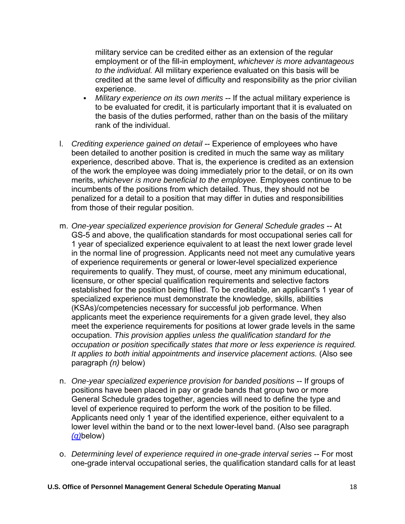military service can be credited either as an extension of the regular employment or of the fill-in employment, *whichever is more advantageous to the individual.* All military experience evaluated on this basis will be credited at the same level of difficulty and responsibility as the prior civilian experience.

- *Military experience on its own merits* -- If the actual military experience is to be evaluated for credit, it is particularly important that it is evaluated on the basis of the duties performed, rather than on the basis of the military rank of the individual.
- l. *Crediting experience gained on detail* -- Experience of employees who have been detailed to another position is credited in much the same way as military experience, described above. That is, the experience is credited as an extension of the work the employee was doing immediately prior to the detail, or on its own merits, *whichever is more beneficial to the employee.* Employees continue to be incumbents of the positions from which detailed. Thus, they should not be penalized for a detail to a position that may differ in duties and responsibilities from those of their regular position.
- m. *One-year specialized experience provision for General Schedule grades* -- At GS-5 and above, the qualification standards for most occupational series call for 1 year of specialized experience equivalent to at least the next lower grade level in the normal line of progression. Applicants need not meet any cumulative years of experience requirements or general or lower-level specialized experience requirements to qualify. They must, of course, meet any minimum educational, licensure, or other special qualification requirements and selective factors established for the position being filled. To be creditable, an applicant's 1 year of specialized experience must demonstrate the knowledge, skills, abilities (KSAs)/competencies necessary for successful job performance. When applicants meet the experience requirements for a given grade level, they also meet the experience requirements for positions at lower grade levels in the same occupation. *This provision applies unless the qualification standard for the occupation or position specifically states that more or less experience is required. It applies to both initial appointments and inservice placement actions.* (Also see paragraph *(n)* below)
- n. *One-year specialized experience provision for banded positions* -- If groups of positions have been placed in pay or grade bands that group two or more General Schedule grades together, agencies will need to define the type and level of experience required to perform the work of the position to be filled. Applicants need only 1 year of the identified experience, either equivalent to a lower level within the band or to the next lower-level band. (Also see paragraph *[\(q\)](https://www.opm.gov/policy-data-oversight/classification-qualifications/general-schedule-qualification-policies/#e3q)*below)
- o. *Determining level of experience required in one-grade interval series* -- For most one-grade interval occupational series, the qualification standard calls for at least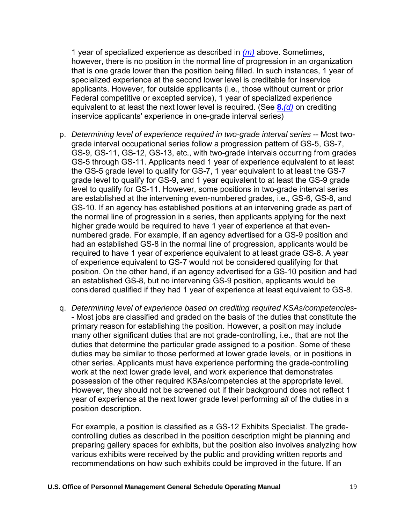1 year of specialized experience as described in *[\(m\)](https://www.opm.gov/policy-data-oversight/classification-qualifications/general-schedule-qualification-policies/#e3m)* above. Sometimes, however, there is no position in the normal line of progression in an organization that is one grade lower than the position being filled. In such instances, 1 year of specialized experience at the second lower level is creditable for inservice applicants. However, for outside applicants (i.e., those without current or prior Federal competitive or excepted service), 1 year of specialized experience equivalent to at least the next lower level is required. (See **8.***[\(d\)](https://www.opm.gov/policy-data-oversight/classification-qualifications/general-schedule-qualification-policies/#e8d)* on crediting inservice applicants' experience in one-grade interval series)

- p. *Determining level of experience required in two-grade interval series* -- Most twograde interval occupational series follow a progression pattern of GS-5, GS-7, GS-9, GS-11, GS-12, GS-13, etc., with two-grade intervals occurring from grades GS-5 through GS-11. Applicants need 1 year of experience equivalent to at least the GS-5 grade level to qualify for GS-7, 1 year equivalent to at least the GS-7 grade level to qualify for GS-9, and 1 year equivalent to at least the GS-9 grade level to qualify for GS-11. However, some positions in two-grade interval series are established at the intervening even-numbered grades, i.e., GS-6, GS-8, and GS-10. If an agency has established positions at an intervening grade as part of the normal line of progression in a series, then applicants applying for the next higher grade would be required to have 1 year of experience at that evennumbered grade. For example, if an agency advertised for a GS-9 position and had an established GS-8 in the normal line of progression, applicants would be required to have 1 year of experience equivalent to at least grade GS-8. A year of experience equivalent to GS-7 would not be considered qualifying for that position. On the other hand, if an agency advertised for a GS-10 position and had an established GS-8, but no intervening GS-9 position, applicants would be considered qualified if they had 1 year of experience at least equivalent to GS-8.
- q. *Determining level of experience based on crediting required KSAs/competencies* - Most jobs are classified and graded on the basis of the duties that constitute the primary reason for establishing the position. However, a position may include many other significant duties that are not grade-controlling, i.e., that are not the duties that determine the particular grade assigned to a position. Some of these duties may be similar to those performed at lower grade levels, or in positions in other series. Applicants must have experience performing the grade-controlling work at the next lower grade level, and work experience that demonstrates possession of the other required KSAs/competencies at the appropriate level. However, they should not be screened out if their background does not reflect 1 year of experience at the next lower grade level performing *all* of the duties in a position description.

For example, a position is classified as a GS-12 Exhibits Specialist. The gradecontrolling duties as described in the position description might be planning and preparing gallery spaces for exhibits, but the position also involves analyzing how various exhibits were received by the public and providing written reports and recommendations on how such exhibits could be improved in the future. If an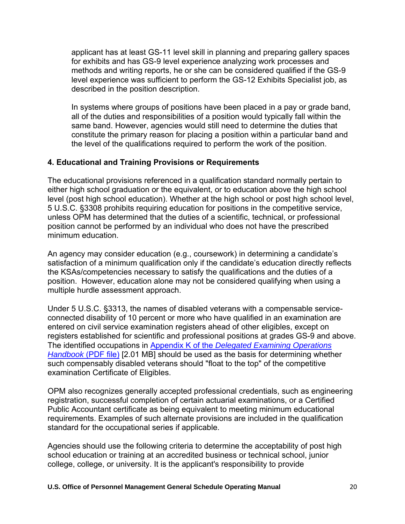applicant has at least GS-11 level skill in planning and preparing gallery spaces for exhibits and has GS-9 level experience analyzing work processes and methods and writing reports, he or she can be considered qualified if the GS-9 level experience was sufficient to perform the GS-12 Exhibits Specialist job, as described in the position description.

In systems where groups of positions have been placed in a pay or grade band, all of the duties and responsibilities of a position would typically fall within the same band. However, agencies would still need to determine the duties that constitute the primary reason for placing a position within a particular band and the level of the qualifications required to perform the work of the position.

### **4. Educational and Training Provisions or Requirements**

The educational provisions referenced in a qualification standard normally pertain to either high school graduation or the equivalent, or to education above the high school level (post high school education). Whether at the high school or post high school level, 5 U.S.C. §3308 prohibits requiring education for positions in the competitive service, unless OPM has determined that the duties of a scientific, technical, or professional position cannot be performed by an individual who does not have the prescribed minimum education.

An agency may consider education (e.g., coursework) in determining a candidate's satisfaction of a minimum qualification only if the candidate's education directly reflects the KSAs/competencies necessary to satisfy the qualifications and the duties of a position. However, education alone may not be considered qualifying when using a multiple hurdle assessment approach.

Under 5 U.S.C. §3313, the names of disabled veterans with a compensable serviceconnected disability of 10 percent or more who have qualified in an examination are entered on civil service examination registers ahead of other eligibles, except on registers established for scientific and professional positions at grades GS-9 and above. The identified occupations in Appendix K of the *[Delegated Examining Operations](https://www.opm.gov/policy-data-oversight/hiring-information/competitive-hiring/deo_handbook.pdf)  [Handbook](https://www.opm.gov/policy-data-oversight/hiring-information/competitive-hiring/deo_handbook.pdf)* (PDF file) [2.01 MB] should be used as the basis for determining whether such compensably disabled veterans should "float to the top" of the competitive examination Certificate of Eligibles.

OPM also recognizes generally accepted professional credentials, such as engineering registration, successful completion of certain actuarial examinations, or a Certified Public Accountant certificate as being equivalent to meeting minimum educational requirements. Examples of such alternate provisions are included in the qualification standard for the occupational series if applicable.

Agencies should use the following criteria to determine the acceptability of post high school education or training at an accredited business or technical school, junior college, college, or university. It is the applicant's responsibility to provide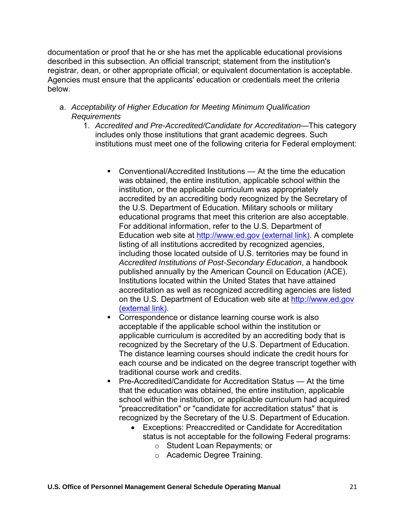documentation or proof that he or she has met the applicable educational provisions described in this subsection. An official transcript; statement from the institution's registrar, dean, or other appropriate official; or equivalent documentation is acceptable. Agencies must ensure that the applicants' education or credentials meet the criteria below.

- a. *Acceptability of Higher Education for Meeting Minimum Qualification Requirements*
	- 1. *Accredited and Pre-Accredited/Candidate for Accreditation*—This category includes only those institutions that grant academic degrees. Such institutions must meet one of the following criteria for Federal employment:
		- Conventional/Accredited Institutions At the time the education was obtained, the entire institution, applicable school within the institution, or the applicable curriculum was appropriately accredited by an accrediting body recognized by the Secretary of the U.S. Department of Education. Military schools or military educational programs that meet this criterion are also acceptable. For additional information, refer to the U.S. Department of Education web site at [http://www.ed.gov \(external link\).](https://www.opm.gov/leaving/index.aspx?link=http://www.ed.gov) A complete listing of all institutions accredited by recognized agencies, including those located outside of U.S. territories may be found in *Accredited Institutions of Post-Secondary Education*, a handbook published annually by the American Council on Education (ACE). Institutions located within the United States that have attained accreditation as well as recognized accrediting agencies are listed on the U.S. Department of Education web site at [http://www.ed.gov](https://www.opm.gov/leaving/index.aspx?link=http://www.ed.gov) [\(external link\).](https://www.opm.gov/leaving/index.aspx?link=http://www.ed.gov)
		- Correspondence or distance learning course work is also acceptable if the applicable school within the institution or applicable curriculum is accredited by an accrediting body that is recognized by the Secretary of the U.S. Department of Education. The distance learning courses should indicate the credit hours for each course and be indicated on the degree transcript together with traditional course work and credits.
		- Pre-Accredited/Candidate for Accreditation Status At the time that the education was obtained, the entire institution, applicable school within the institution, or applicable curriculum had acquired "preaccreditation" or "candidate for accreditation status" that is recognized by the Secretary of the U.S. Department of Education.
			- Exceptions: Preaccredited or Candidate for Accreditation status is not acceptable for the following Federal programs:
				- o Student Loan Repayments; or
				- o Academic Degree Training.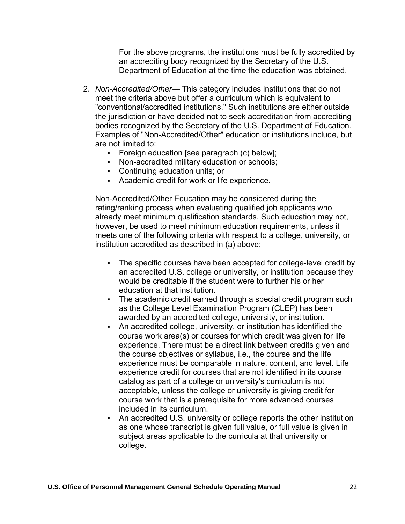For the above programs, the institutions must be fully accredited by an accrediting body recognized by the Secretary of the U.S. Department of Education at the time the education was obtained.

- 2. *Non-Accredited/Other* This category includes institutions that do not meet the criteria above but offer a curriculum which is equivalent to "conventional/accredited institutions." Such institutions are either outside the jurisdiction or have decided not to seek accreditation from accrediting bodies recognized by the Secretary of the U.S. Department of Education. Examples of "Non-Accredited/Other" education or institutions include, but are not limited to:
	- Foreign education [see paragraph (c) below];
	- Non-accredited military education or schools;
	- Continuing education units; or
	- Academic credit for work or life experience.

Non-Accredited/Other Education may be considered during the rating/ranking process when evaluating qualified job applicants who already meet minimum qualification standards. Such education may not, however, be used to meet minimum education requirements, unless it meets one of the following criteria with respect to a college, university, or institution accredited as described in (a) above:

- The specific courses have been accepted for college-level credit by an accredited U.S. college or university, or institution because they would be creditable if the student were to further his or her education at that institution.
- The academic credit earned through a special credit program such as the College Level Examination Program (CLEP) has been awarded by an accredited college, university, or institution.
- An accredited college, university, or institution has identified the course work area(s) or courses for which credit was given for life experience. There must be a direct link between credits given and the course objectives or syllabus, i.e., the course and the life experience must be comparable in nature, content, and level. Life experience credit for courses that are not identified in its course catalog as part of a college or university's curriculum is not acceptable, unless the college or university is giving credit for course work that is a prerequisite for more advanced courses included in its curriculum.
- An accredited U.S. university or college reports the other institution as one whose transcript is given full value, or full value is given in subject areas applicable to the curricula at that university or college.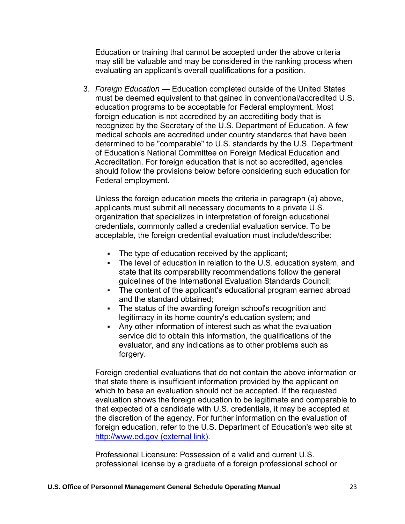Education or training that cannot be accepted under the above criteria may still be valuable and may be considered in the ranking process when evaluating an applicant's overall qualifications for a position.

3. *Foreign Education* — Education completed outside of the United States must be deemed equivalent to that gained in conventional/accredited U.S. education programs to be acceptable for Federal employment. Most foreign education is not accredited by an accrediting body that is recognized by the Secretary of the U.S. Department of Education. A few medical schools are accredited under country standards that have been determined to be "comparable" to U.S. standards by the U.S. Department of Education's National Committee on Foreign Medical Education and Accreditation. For foreign education that is not so accredited, agencies should follow the provisions below before considering such education for Federal employment.

Unless the foreign education meets the criteria in paragraph (a) above, applicants must submit all necessary documents to a private U.S. organization that specializes in interpretation of foreign educational credentials, commonly called a credential evaluation service. To be acceptable, the foreign credential evaluation must include/describe:

- The type of education received by the applicant;
- **EXECT** The level of education in relation to the U.S. education system, and state that its comparability recommendations follow the general guidelines of the International Evaluation Standards Council;
- **•** The content of the applicant's educational program earned abroad and the standard obtained;
- The status of the awarding foreign school's recognition and legitimacy in its home country's education system; and
- **EXECT** Any other information of interest such as what the evaluation service did to obtain this information, the qualifications of the evaluator, and any indications as to other problems such as forgery.

Foreign credential evaluations that do not contain the above information or that state there is insufficient information provided by the applicant on which to base an evaluation should not be accepted. If the requested evaluation shows the foreign education to be legitimate and comparable to that expected of a candidate with U.S. credentials, it may be accepted at the discretion of the agency. For further information on the evaluation of foreign education, refer to the U.S. Department of Education's web site at [http://www.ed.gov \(external link\).](https://www.opm.gov/leaving/index.aspx?link=http://www.ed.gov)

Professional Licensure: Possession of a valid and current U.S. professional license by a graduate of a foreign professional school or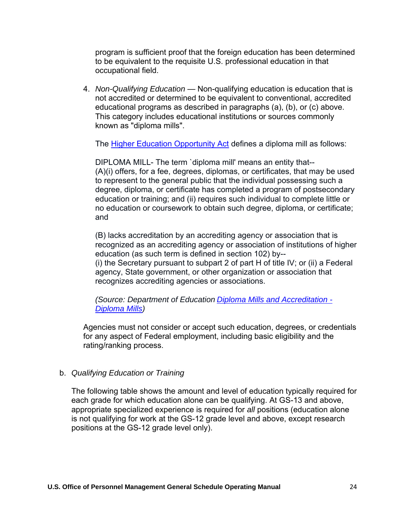program is sufficient proof that the foreign education has been determined to be equivalent to the requisite U.S. professional education in that occupational field.

4. *Non-Qualifying Education* — Non-qualifying education is education that is not accredited or determined to be equivalent to conventional, accredited educational programs as described in paragraphs (a), (b), or (c) above. This category includes educational institutions or sources commonly known as "diploma mills".

The [Higher Education Opportunity Act](https://www2.ed.gov/policy/highered/leg/hea08/index.html) defines a diploma mill as follows:

DIPLOMA MILL- The term `diploma mill' means an entity that-- (A)(i) offers, for a fee, degrees, diplomas, or certificates, that may be used to represent to the general public that the individual possessing such a degree, diploma, or certificate has completed a program of postsecondary education or training; and (ii) requires such individual to complete little or no education or coursework to obtain such degree, diploma, or certificate; and

(B) lacks accreditation by an accrediting agency or association that is recognized as an accrediting agency or association of institutions of higher education (as such term is defined in section 102) by-- (i) the Secretary pursuant to subpart 2 of part H of title IV; or (ii) a Federal agency, State government, or other organization or association that recognizes accrediting agencies or associations.

*(Source: Department of Education [Diploma Mills and Accreditation -](https://www2.ed.gov/students/prep/college/diplomamills/diploma-mills.html#defined)  [Diploma Mills\)](https://www2.ed.gov/students/prep/college/diplomamills/diploma-mills.html#defined)* 

Agencies must not consider or accept such education, degrees, or credentials for any aspect of Federal employment, including basic eligibility and the rating/ranking process.

### b. *Qualifying Education or Training*

The following table shows the amount and level of education typically required for each grade for which education alone can be qualifying. At GS-13 and above, appropriate specialized experience is required for *all* positions (education alone is not qualifying for work at the GS-12 grade level and above, except research positions at the GS-12 grade level only).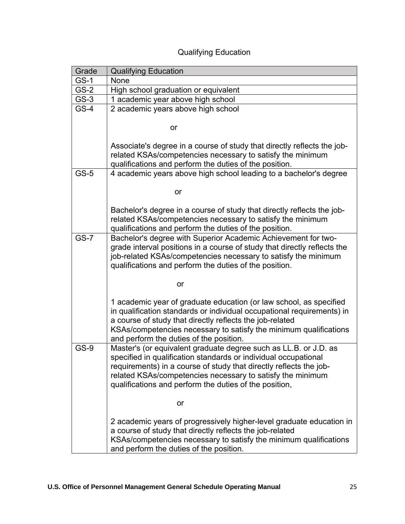| Grade       | <b>Qualifying Education</b>                                                                                                                                                                                                                                                                                                       |
|-------------|-----------------------------------------------------------------------------------------------------------------------------------------------------------------------------------------------------------------------------------------------------------------------------------------------------------------------------------|
| <b>GS-1</b> | None                                                                                                                                                                                                                                                                                                                              |
| GS-2        | High school graduation or equivalent                                                                                                                                                                                                                                                                                              |
| $GS-3$      | 1 academic year above high school                                                                                                                                                                                                                                                                                                 |
| $GS-4$      | 2 academic years above high school                                                                                                                                                                                                                                                                                                |
|             | or                                                                                                                                                                                                                                                                                                                                |
|             | Associate's degree in a course of study that directly reflects the job-<br>related KSAs/competencies necessary to satisfy the minimum<br>qualifications and perform the duties of the position.                                                                                                                                   |
| $GS-5$      | 4 academic years above high school leading to a bachelor's degree                                                                                                                                                                                                                                                                 |
|             | or                                                                                                                                                                                                                                                                                                                                |
|             | Bachelor's degree in a course of study that directly reflects the job-<br>related KSAs/competencies necessary to satisfy the minimum<br>qualifications and perform the duties of the position.                                                                                                                                    |
| <b>GS-7</b> | Bachelor's degree with Superior Academic Achievement for two-<br>grade interval positions in a course of study that directly reflects the<br>job-related KSAs/competencies necessary to satisfy the minimum<br>qualifications and perform the duties of the position.                                                             |
|             | or                                                                                                                                                                                                                                                                                                                                |
|             | 1 academic year of graduate education (or law school, as specified<br>in qualification standards or individual occupational requirements) in<br>a course of study that directly reflects the job-related<br>KSAs/competencies necessary to satisfy the minimum qualifications<br>and perform the duties of the position.          |
| <b>GS-9</b> | Master's (or equivalent graduate degree such as LL.B. or J.D. as<br>specified in qualification standards or individual occupational<br>requirements) in a course of study that directly reflects the job-<br>related KSAs/competencies necessary to satisfy the minimum<br>qualifications and perform the duties of the position, |
|             | or                                                                                                                                                                                                                                                                                                                                |
|             | 2 academic years of progressively higher-level graduate education in<br>a course of study that directly reflects the job-related<br>KSAs/competencies necessary to satisfy the minimum qualifications<br>and perform the duties of the position.                                                                                  |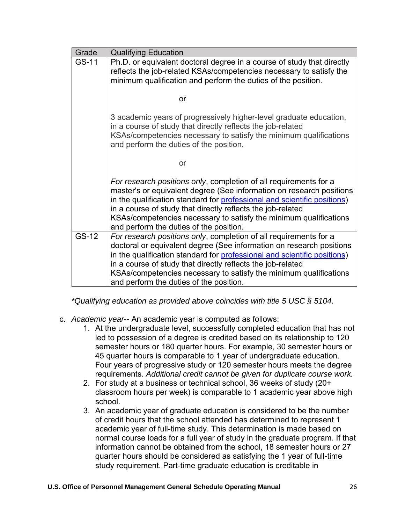| Grade | <b>Qualifying Education</b>                                                                                                                                                                                                                                                                                                                                                                          |
|-------|------------------------------------------------------------------------------------------------------------------------------------------------------------------------------------------------------------------------------------------------------------------------------------------------------------------------------------------------------------------------------------------------------|
| GS-11 | Ph.D. or equivalent doctoral degree in a course of study that directly<br>reflects the job-related KSAs/competencies necessary to satisfy the<br>minimum qualification and perform the duties of the position.                                                                                                                                                                                       |
|       | or                                                                                                                                                                                                                                                                                                                                                                                                   |
|       | 3 academic years of progressively higher-level graduate education,<br>in a course of study that directly reflects the job-related<br>KSAs/competencies necessary to satisfy the minimum qualifications<br>and perform the duties of the position,                                                                                                                                                    |
|       | or                                                                                                                                                                                                                                                                                                                                                                                                   |
|       | For research positions only, completion of all requirements for a<br>master's or equivalent degree (See information on research positions<br>in the qualification standard for professional and scientific positions)<br>in a course of study that directly reflects the job-related<br>KSAs/competencies necessary to satisfy the minimum qualifications<br>and perform the duties of the position. |
| GS-12 | For research positions only, completion of all requirements for a<br>doctoral or equivalent degree (See information on research positions<br>in the qualification standard for professional and scientific positions)<br>in a course of study that directly reflects the job-related<br>KSAs/competencies necessary to satisfy the minimum qualifications<br>and perform the duties of the position. |

*\*Qualifying education as provided above coincides with title 5 USC § 5104.*

- c. *Academic year*-- An academic year is computed as follows:
	- 1. At the undergraduate level, successfully completed education that has not led to possession of a degree is credited based on its relationship to 120 semester hours or 180 quarter hours. For example, 30 semester hours or 45 quarter hours is comparable to 1 year of undergraduate education. Four years of progressive study or 120 semester hours meets the degree requirements. *Additional credit cannot be given for duplicate course work.*
	- 2. For study at a business or technical school, 36 weeks of study (20+ classroom hours per week) is comparable to 1 academic year above high school.
	- 3. An academic year of graduate education is considered to be the number of credit hours that the school attended has determined to represent 1 academic year of full-time study. This determination is made based on normal course loads for a full year of study in the graduate program. If that information cannot be obtained from the school, 18 semester hours or 27 quarter hours should be considered as satisfying the 1 year of full-time study requirement. Part-time graduate education is creditable in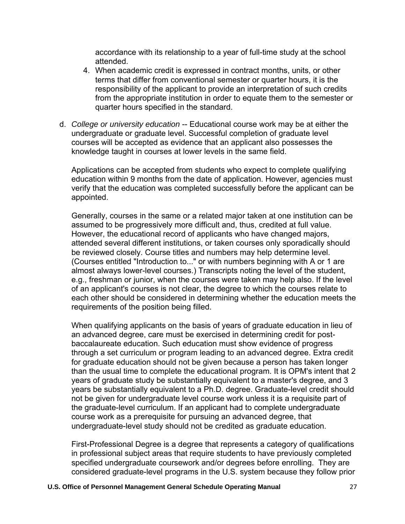accordance with its relationship to a year of full-time study at the school attended.

- 4. When academic credit is expressed in contract months, units, or other terms that differ from conventional semester or quarter hours, it is the responsibility of the applicant to provide an interpretation of such credits from the appropriate institution in order to equate them to the semester or quarter hours specified in the standard.
- d. *College or university education* -- Educational course work may be at either the undergraduate or graduate level. Successful completion of graduate level courses will be accepted as evidence that an applicant also possesses the knowledge taught in courses at lower levels in the same field.

Applications can be accepted from students who expect to complete qualifying education within 9 months from the date of application. However, agencies must verify that the education was completed successfully before the applicant can be appointed.

Generally, courses in the same or a related major taken at one institution can be assumed to be progressively more difficult and, thus, credited at full value. However, the educational record of applicants who have changed majors, attended several different institutions, or taken courses only sporadically should be reviewed closely. Course titles and numbers may help determine level. (Courses entitled "Introduction to..." or with numbers beginning with A or 1 are almost always lower-level courses.) Transcripts noting the level of the student, e.g., freshman or junior, when the courses were taken may help also. If the level of an applicant's courses is not clear, the degree to which the courses relate to each other should be considered in determining whether the education meets the requirements of the position being filled.

When qualifying applicants on the basis of years of graduate education in lieu of an advanced degree, care must be exercised in determining credit for postbaccalaureate education. Such education must show evidence of progress through a set curriculum or program leading to an advanced degree. Extra credit for graduate education should not be given because a person has taken longer than the usual time to complete the educational program. It is OPM's intent that 2 years of graduate study be substantially equivalent to a master's degree, and 3 years be substantially equivalent to a Ph.D. degree. Graduate-level credit should not be given for undergraduate level course work unless it is a requisite part of the graduate-level curriculum. If an applicant had to complete undergraduate course work as a prerequisite for pursuing an advanced degree, that undergraduate-level study should not be credited as graduate education.

First-Professional Degree is a degree that represents a category of qualifications in professional subject areas that require students to have previously completed specified undergraduate coursework and/or degrees before enrolling. They are considered graduate-level programs in the U.S. system because they follow prior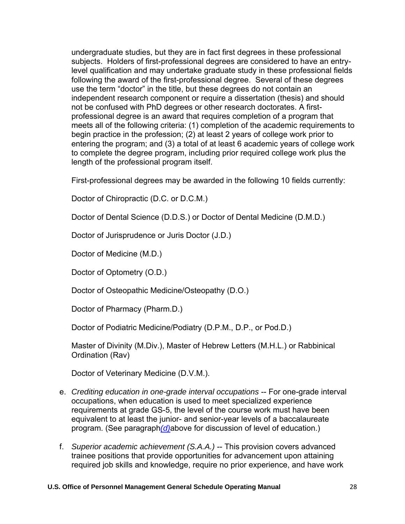undergraduate studies, but they are in fact first degrees in these professional subjects. Holders of first-professional degrees are considered to have an entrylevel qualification and may undertake graduate study in these professional fields following the award of the first-professional degree. Several of these degrees use the term "doctor" in the title, but these degrees do not contain an independent research component or require a dissertation (thesis) and should not be confused with PhD degrees or other research doctorates. A firstprofessional degree is an award that requires completion of a program that meets all of the following criteria: (1) completion of the academic requirements to begin practice in the profession; (2) at least 2 years of college work prior to entering the program; and (3) a total of at least 6 academic years of college work to complete the degree program, including prior required college work plus the length of the professional program itself.

First-professional degrees may be awarded in the following 10 fields currently:

Doctor of Chiropractic (D.C. or D.C.M.)

Doctor of Dental Science (D.D.S.) or Doctor of Dental Medicine (D.M.D.)

Doctor of Jurisprudence or Juris Doctor (J.D.)

Doctor of Medicine (M.D.)

Doctor of Optometry (O.D.)

Doctor of Osteopathic Medicine/Osteopathy (D.O.)

Doctor of Pharmacy (Pharm.D.)

Doctor of Podiatric Medicine/Podiatry (D.P.M., D.P., or Pod.D.)

Master of Divinity (M.Div.), Master of Hebrew Letters (M.H.L.) or Rabbinical Ordination (Rav)

Doctor of Veterinary Medicine (D.V.M.).

- e. *Crediting education in one-grade interval occupations* -- For one-grade interval occupations, when education is used to meet specialized experience requirements at grade GS-5, the level of the course work must have been equivalent to at least the junior- and senior-year levels of a baccalaureate program. (See paragraph*[\(d\)](https://www.opm.gov/policy-data-oversight/classification-qualifications/general-schedule-qualification-policies/#e4d)*above for discussion of level of education.)
- f. *Superior academic achievement (S.A.A.)* -- This provision covers advanced trainee positions that provide opportunities for advancement upon attaining required job skills and knowledge, require no prior experience, and have work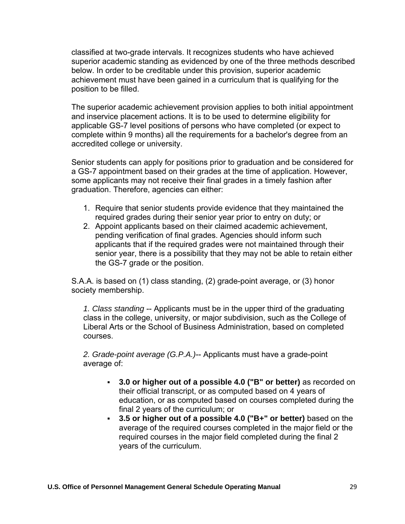classified at two-grade intervals. It recognizes students who have achieved superior academic standing as evidenced by one of the three methods described below. In order to be creditable under this provision, superior academic achievement must have been gained in a curriculum that is qualifying for the position to be filled.

The superior academic achievement provision applies to both initial appointment and inservice placement actions. It is to be used to determine eligibility for applicable GS-7 level positions of persons who have completed (or expect to complete within 9 months) all the requirements for a bachelor's degree from an accredited college or university.

Senior students can apply for positions prior to graduation and be considered for a GS-7 appointment based on their grades at the time of application. However, some applicants may not receive their final grades in a timely fashion after graduation. Therefore, agencies can either:

- 1. Require that senior students provide evidence that they maintained the required grades during their senior year prior to entry on duty; or
- 2. Appoint applicants based on their claimed academic achievement, pending verification of final grades. Agencies should inform such applicants that if the required grades were not maintained through their senior year, there is a possibility that they may not be able to retain either the GS-7 grade or the position.

S.A.A. is based on (1) class standing, (2) grade-point average, or (3) honor society membership.

*1. Class standing* -- Applicants must be in the upper third of the graduating class in the college, university, or major subdivision, such as the College of Liberal Arts or the School of Business Administration, based on completed courses.

*2. Grade-point average (G.P.A.)*-- Applicants must have a grade-point average of:

- **3.0 or higher out of a possible 4.0 ("B" or better)** as recorded on their official transcript, or as computed based on 4 years of education, or as computed based on courses completed during the final 2 years of the curriculum; or
- **3.5 or higher out of a possible 4.0 ("B+" or better)** based on the average of the required courses completed in the major field or the required courses in the major field completed during the final 2 years of the curriculum.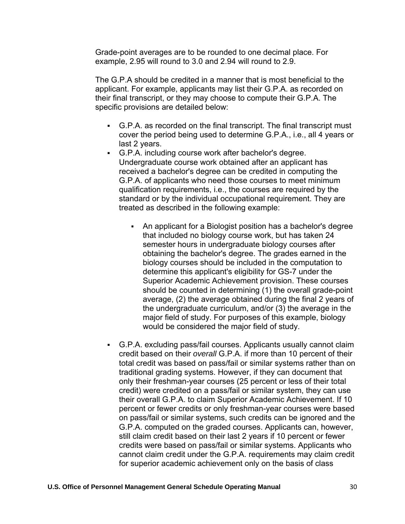Grade-point averages are to be rounded to one decimal place. For example, 2.95 will round to 3.0 and 2.94 will round to 2.9.

The G.P.A should be credited in a manner that is most beneficial to the applicant. For example, applicants may list their G.P.A. as recorded on their final transcript, or they may choose to compute their G.P.A. The specific provisions are detailed below:

- G.P.A. as recorded on the final transcript. The final transcript must cover the period being used to determine G.P.A., i.e., all 4 years or last 2 years.
- G.P.A. including course work after bachelor's degree. Undergraduate course work obtained after an applicant has received a bachelor's degree can be credited in computing the G.P.A. of applicants who need those courses to meet minimum qualification requirements, i.e., the courses are required by the standard or by the individual occupational requirement. They are treated as described in the following example:
	- An applicant for a Biologist position has a bachelor's degree that included no biology course work, but has taken 24 semester hours in undergraduate biology courses after obtaining the bachelor's degree. The grades earned in the biology courses should be included in the computation to determine this applicant's eligibility for GS-7 under the Superior Academic Achievement provision. These courses should be counted in determining (1) the overall grade-point average, (2) the average obtained during the final 2 years of the undergraduate curriculum, and/or (3) the average in the major field of study. For purposes of this example, biology would be considered the major field of study.
- G.P.A. excluding pass/fail courses. Applicants usually cannot claim credit based on their *overall* G.P.A. if more than 10 percent of their total credit was based on pass/fail or similar systems rather than on traditional grading systems. However, if they can document that only their freshman-year courses (25 percent or less of their total credit) were credited on a pass/fail or similar system, they can use their overall G.P.A. to claim Superior Academic Achievement. If 10 percent or fewer credits or only freshman-year courses were based on pass/fail or similar systems, such credits can be ignored and the G.P.A. computed on the graded courses. Applicants can, however, still claim credit based on their last 2 years if 10 percent or fewer credits were based on pass/fail or similar systems. Applicants who cannot claim credit under the G.P.A. requirements may claim credit for superior academic achievement only on the basis of class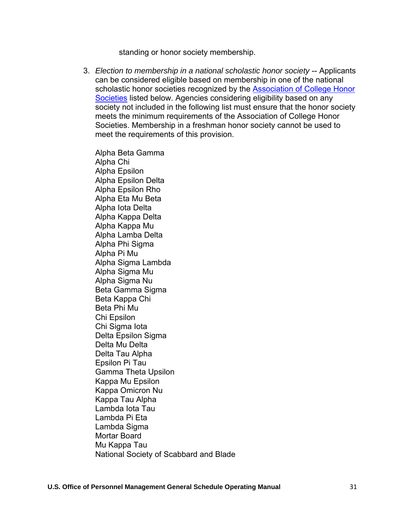standing or honor society membership.

3. *Election to membership in a national scholastic honor society* -- Applicants can be considered eligible based on membership in one of the national scholastic honor societies recognized by the [Association of College Honor](https://www.achshonor.org/) [Societies](https://www.achshonor.org/) listed below. Agencies considering eligibility based on any society not included in the following list must ensure that the honor society meets the minimum requirements of the Association of College Honor Societies. Membership in a freshman honor society cannot be used to meet the requirements of this provision.

Alpha Beta Gamma Alpha Chi Alpha Epsilon Alpha Epsilon Delta Alpha Epsilon Rho Alpha Eta Mu Beta Alpha Iota Delta Alpha Kappa Delta Alpha Kappa Mu Alpha Lamba Delta Alpha Phi Sigma Alpha Pi Mu Alpha Sigma Lambda Alpha Sigma Mu Alpha Sigma Nu Beta Gamma Sigma Beta Kappa Chi Beta Phi Mu Chi Epsilon Chi Sigma Iota Delta Epsilon Sigma Delta Mu Delta Delta Tau Alpha Epsilon Pi Tau Gamma Theta Upsilon Kappa Mu Epsilon Kappa Omicron Nu Kappa Tau Alpha Lambda Iota Tau Lambda Pi Eta Lambda Sigma Mortar Board Mu Kappa Tau National Society of Scabbard and Blade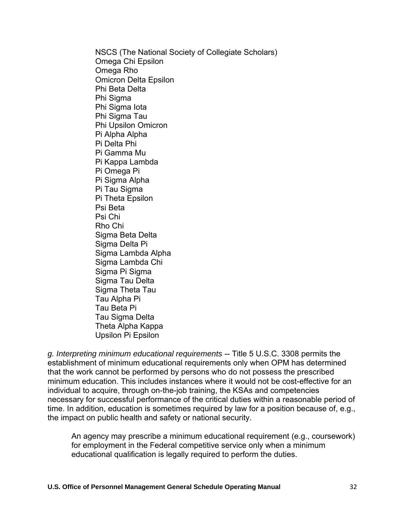NSCS (The National Society of Collegiate Scholars) Omega Chi Epsilon Omega Rho Omicron Delta Epsilon Phi Beta Delta Phi Sigma Phi Sigma Iota Phi Sigma Tau Phi Upsilon Omicron Pi Alpha Alpha Pi Delta Phi Pi Gamma Mu Pi Kappa Lambda Pi Omega Pi Pi Sigma Alpha Pi Tau Sigma Pi Theta Epsilon Psi Beta Psi Chi Rho Chi Sigma Beta Delta Sigma Delta Pi Sigma Lambda Alpha Sigma Lambda Chi Sigma Pi Sigma Sigma Tau Delta Sigma Theta Tau Tau Alpha Pi Tau Beta Pi Tau Sigma Delta Theta Alpha Kappa

Upsilon Pi Epsilon

*g. Interpreting minimum educational requirements* -- Title 5 U.S.C. 3308 permits the establishment of minimum educational requirements only when OPM has determined that the work cannot be performed by persons who do not possess the prescribed minimum education. This includes instances where it would not be cost-effective for an individual to acquire, through on-the-job training, the KSAs and competencies necessary for successful performance of the critical duties within a reasonable period of time. In addition, education is sometimes required by law for a position because of, e.g., the impact on public health and safety or national security.

An agency may prescribe a minimum educational requirement (e.g., coursework) for employment in the Federal competitive service only when a minimum educational qualification is legally required to perform the duties.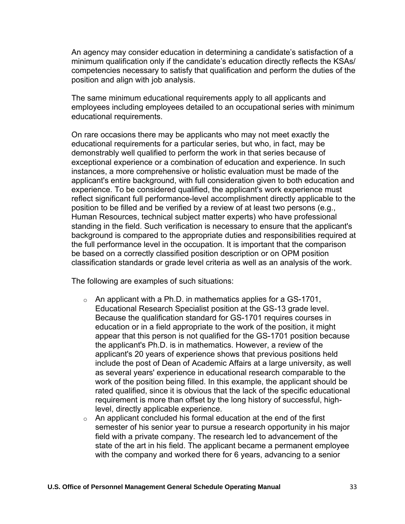An agency may consider education in determining a candidate's satisfaction of a minimum qualification only if the candidate's education directly reflects the KSAs/ competencies necessary to satisfy that qualification and perform the duties of the position and align with job analysis.

The same minimum educational requirements apply to all applicants and employees including employees detailed to an occupational series with minimum educational requirements.

On rare occasions there may be applicants who may not meet exactly the educational requirements for a particular series, but who, in fact, may be demonstrably well qualified to perform the work in that series because of exceptional experience or a combination of education and experience. In such instances, a more comprehensive or holistic evaluation must be made of the applicant's entire background, with full consideration given to both education and experience. To be considered qualified, the applicant's work experience must reflect significant full performance-level accomplishment directly applicable to the position to be filled and be verified by a review of at least two persons (e.g., Human Resources, technical subject matter experts) who have professional standing in the field. Such verification is necessary to ensure that the applicant's background is compared to the appropriate duties and responsibilities required at the full performance level in the occupation. It is important that the comparison be based on a correctly classified position description or on OPM position classification standards or grade level criteria as well as an analysis of the work.

The following are examples of such situations:

- $\circ$  An applicant with a Ph.D. in mathematics applies for a GS-1701, Educational Research Specialist position at the GS-13 grade level. Because the qualification standard for GS-1701 requires courses in education or in a field appropriate to the work of the position, it might appear that this person is not qualified for the GS-1701 position because the applicant's Ph.D. is in mathematics. However, a review of the applicant's 20 years of experience shows that previous positions held include the post of Dean of Academic Affairs at a large university, as well as several years' experience in educational research comparable to the work of the position being filled. In this example, the applicant should be rated qualified, since it is obvious that the lack of the specific educational requirement is more than offset by the long history of successful, highlevel, directly applicable experience.
- $\circ$  An applicant concluded his formal education at the end of the first semester of his senior year to pursue a research opportunity in his major field with a private company. The research led to advancement of the state of the art in his field. The applicant became a permanent employee with the company and worked there for 6 years, advancing to a senior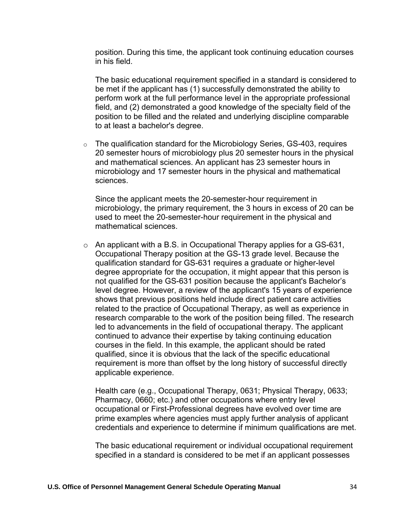position. During this time, the applicant took continuing education courses in his field.

The basic educational requirement specified in a standard is considered to be met if the applicant has (1) successfully demonstrated the ability to perform work at the full performance level in the appropriate professional field, and (2) demonstrated a good knowledge of the specialty field of the position to be filled and the related and underlying discipline comparable to at least a bachelor's degree.

 $\circ$  The qualification standard for the Microbiology Series, GS-403, requires 20 semester hours of microbiology plus 20 semester hours in the physical and mathematical sciences. An applicant has 23 semester hours in microbiology and 17 semester hours in the physical and mathematical sciences.

Since the applicant meets the 20-semester-hour requirement in microbiology, the primary requirement, the 3 hours in excess of 20 can be used to meet the 20-semester-hour requirement in the physical and mathematical sciences.

 $\circ$  An applicant with a B.S. in Occupational Therapy applies for a GS-631, Occupational Therapy position at the GS-13 grade level. Because the qualification standard for GS-631 requires a graduate or higher-level degree appropriate for the occupation, it might appear that this person is not qualified for the GS-631 position because the applicant's Bachelor's level degree. However, a review of the applicant's 15 years of experience shows that previous positions held include direct patient care activities related to the practice of Occupational Therapy, as well as experience in research comparable to the work of the position being filled. The research led to advancements in the field of occupational therapy. The applicant continued to advance their expertise by taking continuing education courses in the field. In this example, the applicant should be rated qualified, since it is obvious that the lack of the specific educational requirement is more than offset by the long history of successful directly applicable experience.

Health care (e.g., Occupational Therapy, 0631; Physical Therapy, 0633; Pharmacy, 0660; etc.) and other occupations where entry level occupational or First-Professional degrees have evolved over time are prime examples where agencies must apply further analysis of applicant credentials and experience to determine if minimum qualifications are met.

The basic educational requirement or individual occupational requirement specified in a standard is considered to be met if an applicant possesses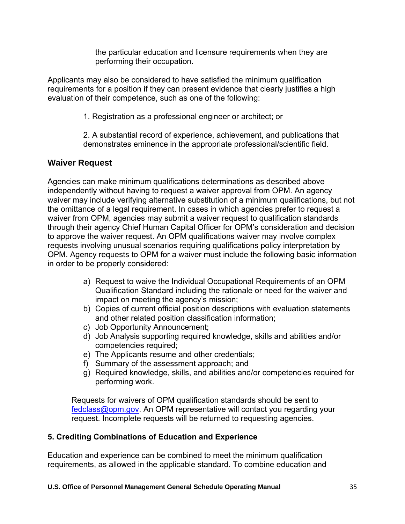the particular education and licensure requirements when they are performing their occupation.

Applicants may also be considered to have satisfied the minimum qualification requirements for a position if they can present evidence that clearly justifies a high evaluation of their competence, such as one of the following:

1. Registration as a professional engineer or architect; or

2. A substantial record of experience, achievement, and publications that demonstrates eminence in the appropriate professional/scientific field.

# **Waiver Request**

Agencies can make minimum qualifications determinations as described above independently without having to request a waiver approval from OPM. An agency waiver may include verifying alternative substitution of a minimum qualifications, but not the omittance of a legal requirement. In cases in which agencies prefer to request a waiver from OPM, agencies may submit a waiver request to qualification standards through their agency Chief Human Capital Officer for OPM's consideration and decision to approve the waiver request. An OPM qualifications waiver may involve complex requests involving unusual scenarios requiring qualifications policy interpretation by OPM. Agency requests to OPM for a waiver must include the following basic information in order to be properly considered:

- a) Request to waive the Individual Occupational Requirements of an OPM Qualification Standard including the rationale or need for the waiver and impact on meeting the agency's mission;
- b) Copies of current official position descriptions with evaluation statements and other related position classification information;
- c) Job Opportunity Announcement;
- d) Job Analysis supporting required knowledge, skills and abilities and/or competencies required;
- e) The Applicants resume and other credentials;
- f) Summary of the assessment approach; and
- g) Required knowledge, skills, and abilities and/or competencies required for performing work.

Requests for waivers of OPM qualification standards should be sent to [fedclass@opm.gov.](mailto:fedclass@opm.gov) An OPM representative will contact you regarding your request. Incomplete requests will be returned to requesting agencies.

## **5. Crediting Combinations of Education and Experience**

Education and experience can be combined to meet the minimum qualification requirements, as allowed in the applicable standard. To combine education and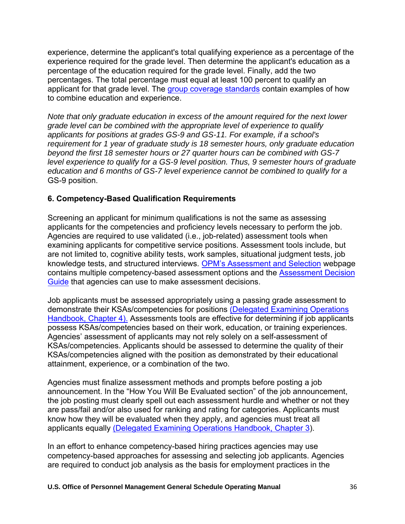experience, determine the applicant's total qualifying experience as a percentage of the experience required for the grade level. Then determine the applicant's education as a percentage of the education required for the grade level. Finally, add the two percentages. The total percentage must equal at least 100 percent to qualify an applicant for that grade level. Th[e group coverage standards](https://www.opm.gov/policy-data-oversight/classification-qualifications/general-schedule-qualification-standards/tabs/group-standards/) contain examples of how to combine education and experience.

*Note that only graduate education in excess of the amount required for the next lower grade level can be combined with the appropriate level of experience to qualify applicants for positions at grades GS-9 and GS-11. For example, if a school's requirement for 1 year of graduate study is 18 semester hours, only graduate education beyond the first 18 semester hours or 27 quarter hours can be combined with GS-7 level experience to qualify for a GS-9 level position. Thus, 9 semester hours of graduate education and 6 months of GS-7 level experience cannot be combined to qualify for a*  GS-9 position.

## **6. Competency-Based Qualification Requirements**

Screening an applicant for minimum qualifications is not the same as assessing applicants for the competencies and proficiency levels necessary to perform the job. Agencies are required to use validated (i.e., job-related) assessment tools when examining applicants for competitive service positions. Assessment tools include, but are not limited to, cognitive ability tests, work samples, situational judgment tests, job knowledge tests, and structured interviews[. OPM's Assessment and Selection](https://www.opm.gov/policy-data-oversight/assessment-and-selection/) webpage contains multiple competency-based assessment options and the [Assessment Decision](https://www.opm.gov/policy-data-oversight/assessment-and-selection/reference-materials/assessmentdecisionguide.pdf) [Guide](https://www.opm.gov/policy-data-oversight/assessment-and-selection/reference-materials/assessmentdecisionguide.pdf) that agencies can use to make assessment decisions.

Job applicants must be assessed appropriately using a passing grade assessment to demonstrate their KSAs/competencies for positions [\(Delegated Examining Operations](https://www.opm.gov/policy-data-oversight/hiring-information/competitive-hiring/deo_handbook.pdf)  [Handbook, Chapter 4\).](https://www.opm.gov/policy-data-oversight/hiring-information/competitive-hiring/deo_handbook.pdf) Assessments tools are effective for determining if job applicants possess KSAs/competencies based on their work, education, or training experiences. Agencies' assessment of applicants may not rely solely on a self-assessment of KSAs/competencies. Applicants should be assessed to determine the quality of their KSAs/competencies aligned with the position as demonstrated by their educational attainment, experience, or a combination of the two.

Agencies must finalize assessment methods and prompts before posting a job announcement. In the "How You Will Be Evaluated section" of the job announcement, the job posting must clearly spell out each assessment hurdle and whether or not they are pass/fail and/or also used for ranking and rating for categories. Applicants must know how they will be evaluated when they apply, and agencies must treat all applicants equally [\(Delegated Examining Operations Handbook, Chapter 3\)](https://www.opm.gov/policy-data-oversight/hiring-information/competitive-hiring/deo_handbook.pdf).

In an effort to enhance competency-based hiring practices agencies may use competency-based approaches for assessing and selecting job applicants. Agencies are required to conduct job analysis as the basis for employment practices in the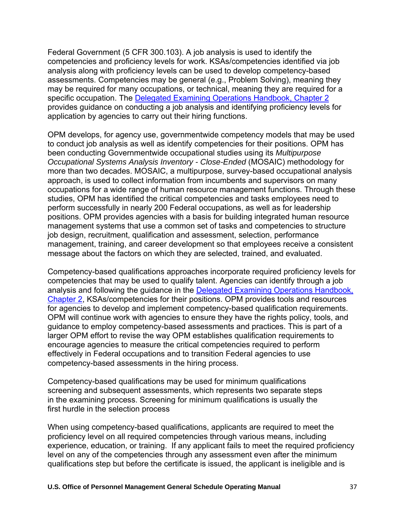Federal Government (5 CFR 300.103). A job analysis is used to identify the competencies and proficiency levels for work. KSAs/competencies identified via job analysis along with proficiency levels can be used to develop competency-based assessments. Competencies may be general (e.g., Problem Solving), meaning they may be required for many occupations, or technical, meaning they are required for a specific occupation. The [Delegated Examining Operations Handbook, Chapter 2](https://www.opm.gov/policy-data-oversight/hiring-information/competitive-hiring/deo_handbook.pdf) provides guidance on conducting a job analysis and identifying proficiency levels for application by agencies to carry out their hiring functions.

OPM develops, for agency use, governmentwide competency models that may be used to conduct job analysis as well as identify competencies for their positions. OPM has been conducting Governmentwide occupational studies using its *Multipurpose Occupational Systems Analysis Inventory - Close-Ended* (MOSAIC) methodology for more than two decades. MOSAIC, a multipurpose, survey-based occupational analysis approach, is used to collect information from incumbents and supervisors on many occupations for a wide range of human resource management functions. Through these studies, OPM has identified the critical competencies and tasks employees need to perform successfully in nearly 200 Federal occupations, as well as for leadership positions. OPM provides agencies with a basis for building integrated human resource management systems that use a common set of tasks and competencies to structure job design, recruitment, qualification and assessment, selection, performance management, training, and career development so that employees receive a consistent message about the factors on which they are selected, trained, and evaluated.

Competency-based qualifications approaches incorporate required proficiency levels for competencies that may be used to qualify talent. Agencies can identify through a job analysis and following the guidance in the Delegated Examining Operations Handbook, [Chapter 2,](https://www.opm.gov/policy-data-oversight/hiring-information/competitive-hiring/deo_handbook.pdf) KSAs/competencies for their positions. OPM provides tools and resources for agencies to develop and implement competency-based qualification requirements. OPM will continue work with agencies to ensure they have the rights policy, tools, and guidance to employ competency-based assessments and practices. This is part of a larger OPM effort to revise the way OPM establishes qualification requirements to encourage agencies to measure the critical competencies required to perform effectively in Federal occupations and to transition Federal agencies to use competency-based assessments in the hiring process.

Competency-based qualifications may be used for minimum qualifications screening and subsequent assessments, which represents two separate steps in the examining process. Screening for minimum qualifications is usually the first hurdle in the selection process

When using competency-based qualifications, applicants are required to meet the proficiency level on all required competencies through various means, including experience, education, or training. If any applicant fails to meet the required proficiency level on any of the competencies through any assessment even after the minimum qualifications step but before the certificate is issued, the applicant is ineligible and is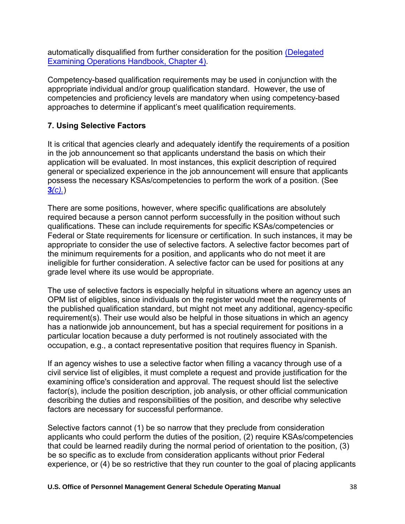automatically disqualified from further consideration for the position [\(Delegated](https://www.opm.gov/policy-data-oversight/hiring-information/competitive-hiring/deo_handbook.pdf) [Examining Operations Handbook, Chapter 4\).](https://www.opm.gov/policy-data-oversight/hiring-information/competitive-hiring/deo_handbook.pdf)

Competency-based qualification requirements may be used in conjunction with the appropriate individual and/or group qualification standard. However, the use of competencies and proficiency levels are mandatory when using competency-based approaches to determine if applicant's meet qualification requirements.

# **7. Using Selective Factors**

It is critical that agencies clearly and adequately identify the requirements of a position in the job announcement so that applicants understand the basis on which their application will be evaluated. In most instances, this explicit description of required general or specialized experience in the job announcement will ensure that applicants possess the necessary KSAs/competencies to perform the work of a position. (See **3***[\(c\).](https://www.opm.gov/policy-data-oversight/classification-qualifications/general-schedule-qualification-policies/#e3c)*)

There are some positions, however, where specific qualifications are absolutely required because a person cannot perform successfully in the position without such qualifications. These can include requirements for specific KSAs/competencies or Federal or State requirements for licensure or certification. In such instances, it may be appropriate to consider the use of selective factors. A selective factor becomes part of the minimum requirements for a position, and applicants who do not meet it are ineligible for further consideration. A selective factor can be used for positions at any grade level where its use would be appropriate.

The use of selective factors is especially helpful in situations where an agency uses an OPM list of eligibles, since individuals on the register would meet the requirements of the published qualification standard, but might not meet any additional, agency-specific requirement(s). Their use would also be helpful in those situations in which an agency has a nationwide job announcement, but has a special requirement for positions in a particular location because a duty performed is not routinely associated with the occupation, e.g., a contact representative position that requires fluency in Spanish.

If an agency wishes to use a selective factor when filling a vacancy through use of a civil service list of eligibles, it must complete a request and provide justification for the examining office's consideration and approval. The request should list the selective factor(s), include the position description, job analysis, or other official communication describing the duties and responsibilities of the position, and describe why selective factors are necessary for successful performance.

Selective factors cannot (1) be so narrow that they preclude from consideration applicants who could perform the duties of the position, (2) require KSAs/competencies that could be learned readily during the normal period of orientation to the position, (3) be so specific as to exclude from consideration applicants without prior Federal experience, or (4) be so restrictive that they run counter to the goal of placing applicants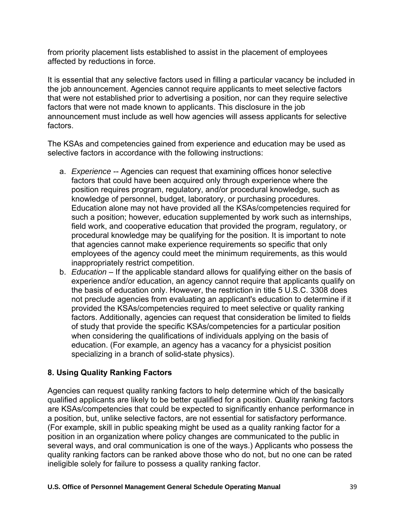from priority placement lists established to assist in the placement of employees affected by reductions in force.

It is essential that any selective factors used in filling a particular vacancy be included in the job announcement. Agencies cannot require applicants to meet selective factors that were not established prior to advertising a position, nor can they require selective factors that were not made known to applicants. This disclosure in the job announcement must include as well how agencies will assess applicants for selective factors.

The KSAs and competencies gained from experience and education may be used as selective factors in accordance with the following instructions:

- a. *Experience* -- Agencies can request that examining offices honor selective factors that could have been acquired only through experience where the position requires program, regulatory, and/or procedural knowledge, such as knowledge of personnel, budget, laboratory, or purchasing procedures. Education alone may not have provided all the KSAs/competencies required for such a position; however, education supplemented by work such as internships, field work, and cooperative education that provided the program, regulatory, or procedural knowledge may be qualifying for the position. It is important to note that agencies cannot make experience requirements so specific that only employees of the agency could meet the minimum requirements, as this would inappropriately restrict competition.
- b. *Education* If the applicable standard allows for qualifying either on the basis of experience and/or education, an agency cannot require that applicants qualify on the basis of education only. However, the restriction in title 5 U.S.C. 3308 does not preclude agencies from evaluating an applicant's education to determine if it provided the KSAs/competencies required to meet selective or quality ranking factors. Additionally, agencies can request that consideration be limited to fields of study that provide the specific KSAs/competencies for a particular position when considering the qualifications of individuals applying on the basis of education. (For example, an agency has a vacancy for a physicist position specializing in a branch of solid-state physics).

## **8. Using Quality Ranking Factors**

Agencies can request quality ranking factors to help determine which of the basically qualified applicants are likely to be better qualified for a position. Quality ranking factors are KSAs/competencies that could be expected to significantly enhance performance in a position, but, unlike selective factors, are not essential for satisfactory performance. (For example, skill in public speaking might be used as a quality ranking factor for a position in an organization where policy changes are communicated to the public in several ways, and oral communication is one of the ways.) Applicants who possess the quality ranking factors can be ranked above those who do not, but no one can be rated ineligible solely for failure to possess a quality ranking factor.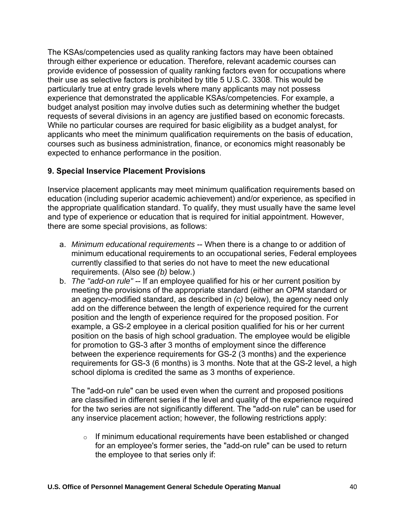The KSAs/competencies used as quality ranking factors may have been obtained through either experience or education. Therefore, relevant academic courses can provide evidence of possession of quality ranking factors even for occupations where their use as selective factors is prohibited by title 5 U.S.C. 3308. This would be particularly true at entry grade levels where many applicants may not possess experience that demonstrated the applicable KSAs/competencies. For example, a budget analyst position may involve duties such as determining whether the budget requests of several divisions in an agency are justified based on economic forecasts. While no particular courses are required for basic eligibility as a budget analyst, for applicants who meet the minimum qualification requirements on the basis of education, courses such as business administration, finance, or economics might reasonably be expected to enhance performance in the position.

## **9. Special Inservice Placement Provisions**

Inservice placement applicants may meet minimum qualification requirements based on education (including superior academic achievement) and/or experience, as specified in the appropriate qualification standard. To qualify, they must usually have the same level and type of experience or education that is required for initial appointment. However, there are some special provisions, as follows:

- a. *Minimum educational requirements* -- When there is a change to or addition of minimum educational requirements to an occupational series, Federal employees currently classified to that series do not have to meet the new educational requirements. (Also see *(b)* below.)
- b. *The "add-on rule"* -- If an employee qualified for his or her current position by meeting the provisions of the appropriate standard (either an OPM standard or an agency-modified standard, as described in *(c)* below), the agency need only add on the difference between the length of experience required for the current position and the length of experience required for the proposed position. For example, a GS-2 employee in a clerical position qualified for his or her current position on the basis of high school graduation. The employee would be eligible for promotion to GS-3 after 3 months of employment since the difference between the experience requirements for GS-2 (3 months) and the experience requirements for GS-3 (6 months) is 3 months. Note that at the GS-2 level, a high school diploma is credited the same as 3 months of experience.

The "add-on rule" can be used even when the current and proposed positions are classified in different series if the level and quality of the experience required for the two series are not significantly different. The "add-on rule" can be used for any inservice placement action; however, the following restrictions apply:

 $\circ$  If minimum educational requirements have been established or changed for an employee's former series, the "add-on rule" can be used to return the employee to that series only if: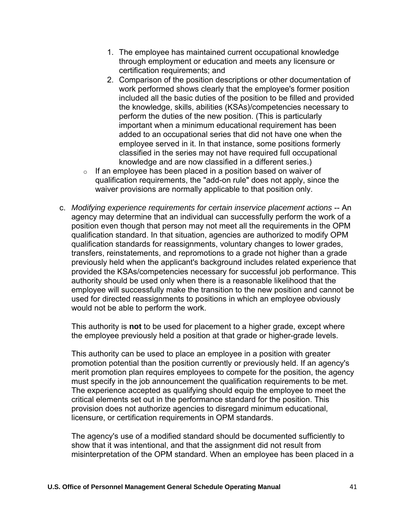- 1. The employee has maintained current occupational knowledge through employment or education and meets any licensure or certification requirements; and
- 2. Comparison of the position descriptions or other documentation of work performed shows clearly that the employee's former position included all the basic duties of the position to be filled and provided the knowledge, skills, abilities (KSAs)/competencies necessary to perform the duties of the new position. (This is particularly important when a minimum educational requirement has been added to an occupational series that did not have one when the employee served in it. In that instance, some positions formerly classified in the series may not have required full occupational knowledge and are now classified in a different series.)
- $\circ$  If an employee has been placed in a position based on waiver of qualification requirements, the "add-on rule" does not apply, since the waiver provisions are normally applicable to that position only.
- c. *Modifying experience requirements for certain inservice placement actions* -- An agency may determine that an individual can successfully perform the work of a position even though that person may not meet all the requirements in the OPM qualification standard. In that situation, agencies are authorized to modify OPM qualification standards for reassignments, voluntary changes to lower grades, transfers, reinstatements, and repromotions to a grade not higher than a grade previously held when the applicant's background includes related experience that provided the KSAs/competencies necessary for successful job performance. This authority should be used only when there is a reasonable likelihood that the employee will successfully make the transition to the new position and cannot be used for directed reassignments to positions in which an employee obviously would not be able to perform the work.

This authority is **not** to be used for placement to a higher grade, except where the employee previously held a position at that grade or higher-grade levels.

This authority can be used to place an employee in a position with greater promotion potential than the position currently or previously held. If an agency's merit promotion plan requires employees to compete for the position, the agency must specify in the job announcement the qualification requirements to be met. The experience accepted as qualifying should equip the employee to meet the critical elements set out in the performance standard for the position. This provision does not authorize agencies to disregard minimum educational, licensure, or certification requirements in OPM standards.

The agency's use of a modified standard should be documented sufficiently to show that it was intentional, and that the assignment did not result from misinterpretation of the OPM standard. When an employee has been placed in a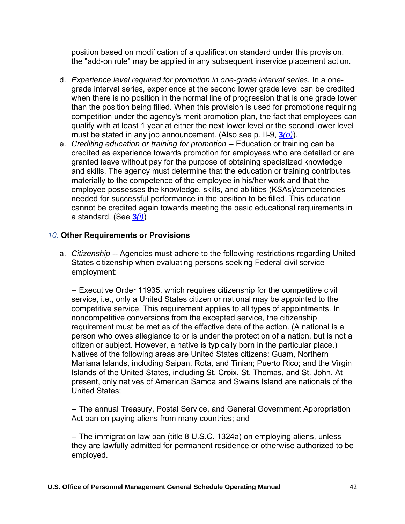position based on modification of a qualification standard under this provision, the "add-on rule" may be applied in any subsequent inservice placement action.

- d. *Experience level required for promotion in one-grade interval series.* In a onegrade interval series, experience at the second lower grade level can be credited when there is no position in the normal line of progression that is one grade lower than the position being filled. When this provision is used for promotions requiring competition under the agency's merit promotion plan, the fact that employees can qualify with at least 1 year at either the next lower level or the second lower level must be stated in any job announcement. (Also see p. II-9, **3***[\(o\)](https://www.opm.gov/policy-data-oversight/classification-qualifications/general-schedule-qualification-policies/#e3o)*).
- e. *Crediting education or training for promotion* -- Education or training can be credited as experience towards promotion for employees who are detailed or are granted leave without pay for the purpose of obtaining specialized knowledge and skills. The agency must determine that the education or training contributes materially to the competence of the employee in his/her work and that the employee possesses the knowledge, skills, and abilities (KSAs)/competencies needed for successful performance in the position to be filled. This education cannot be credited again towards meeting the basic educational requirements in a standard. (See **3***[\(i\)](https://www.opm.gov/policy-data-oversight/classification-qualifications/general-schedule-qualification-policies/#e3i)*)

### *10.* **Other Requirements or Provisions**

a. *Citizenship* -- Agencies must adhere to the following restrictions regarding United States citizenship when evaluating persons seeking Federal civil service employment:

-- Executive Order 11935, which requires citizenship for the competitive civil service, i.e., only a United States citizen or national may be appointed to the competitive service. This requirement applies to all types of appointments. In noncompetitive conversions from the excepted service, the citizenship requirement must be met as of the effective date of the action. (A national is a person who owes allegiance to or is under the protection of a nation, but is not a citizen or subject. However, a native is typically born in the particular place.) Natives of the following areas are United States citizens: Guam, Northern Mariana Islands, including Saipan, Rota, and Tinian; Puerto Rico; and the Virgin Islands of the United States, including St. Croix, St. Thomas, and St. John. At present, only natives of American Samoa and Swains Island are nationals of the United States;

-- The annual Treasury, Postal Service, and General Government Appropriation Act ban on paying aliens from many countries; and

-- The immigration law ban (title 8 U.S.C. 1324a) on employing aliens, unless they are lawfully admitted for permanent residence or otherwise authorized to be employed.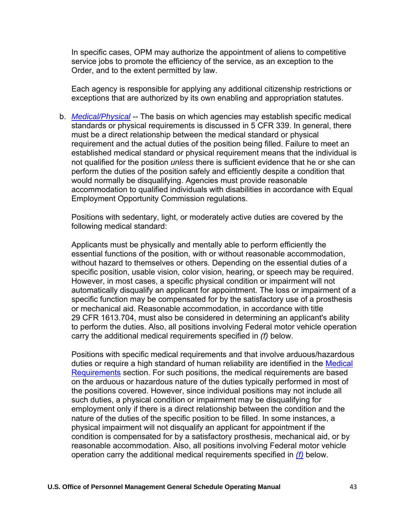In specific cases, OPM may authorize the appointment of aliens to competitive service jobs to promote the efficiency of the service, as an exception to the Order, and to the extent permitted by law.

Each agency is responsible for applying any additional citizenship restrictions or exceptions that are authorized by its own enabling and appropriation statutes.

b. *[Medical/Physical](https://www.opm.gov/policy-data-oversight/classification-qualifications/general-schedule-qualification-policies/)* -- The basis on which agencies may establish specific medical standards or physical requirements is discussed in 5 CFR 339. In general, there must be a direct relationship between the medical standard or physical requirement and the actual duties of the position being filled. Failure to meet an established medical standard or physical requirement means that the individual is not qualified for the position *unless* there is sufficient evidence that he or she can perform the duties of the position safely and efficiently despite a condition that would normally be disqualifying. Agencies must provide reasonable accommodation to qualified individuals with disabilities in accordance with Equal Employment Opportunity Commission regulations.

Positions with sedentary, light, or moderately active duties are covered by the following medical standard:

Applicants must be physically and mentally able to perform efficiently the essential functions of the position, with or without reasonable accommodation, without hazard to themselves or others. Depending on the essential duties of a specific position, usable vision, color vision, hearing, or speech may be required. However, in most cases, a specific physical condition or impairment will not automatically disqualify an applicant for appointment. The loss or impairment of a specific function may be compensated for by the satisfactory use of a prosthesis or mechanical aid. Reasonable accommodation, in accordance with title 29 CFR 1613.704, must also be considered in determining an applicant's ability to perform the duties. Also, all positions involving Federal motor vehicle operation carry the additional medical requirements specified in *(f)* below.

Positions with specific medical requirements and that involve arduous/hazardous duties or require a high standard of human reliability are identified in the Medical [Requirements](https://www.opm.gov/policy-data-oversight/classification-qualifications/general-schedule-qualification-policies/tabs/medical-requirements/) section. For such positions, the medical requirements are based on the arduous or hazardous nature of the duties typically performed in most of the positions covered. However, since individual positions may not include all such duties, a physical condition or impairment may be disqualifying for employment only if there is a direct relationship between the condition and the nature of the duties of the specific position to be filled. In some instances, a physical impairment will not disqualify an applicant for appointment if the condition is compensated for by a satisfactory prosthesis, mechanical aid, or by reasonable accommodation. Also, all positions involving Federal motor vehicle operation carry the additional medical requirements specified in *[\(f\)](https://www.opm.gov/policy-data-oversight/classification-qualifications/general-schedule-qualification-policies/#e9f)* below.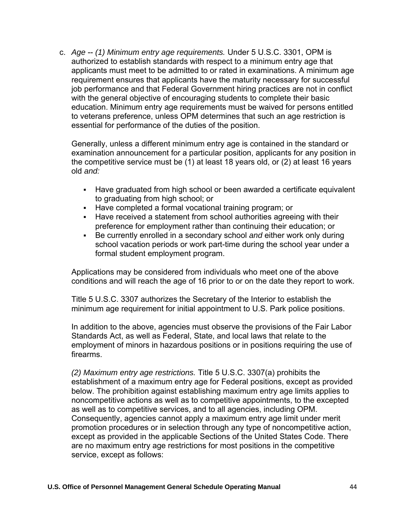c. *Age* -- *(1) Minimum entry age requirements.* Under 5 U.S.C. 3301, OPM is authorized to establish standards with respect to a minimum entry age that applicants must meet to be admitted to or rated in examinations. A minimum age requirement ensures that applicants have the maturity necessary for successful job performance and that Federal Government hiring practices are not in conflict with the general objective of encouraging students to complete their basic education. Minimum entry age requirements must be waived for persons entitled to veterans preference, unless OPM determines that such an age restriction is essential for performance of the duties of the position.

Generally, unless a different minimum entry age is contained in the standard or examination announcement for a particular position, applicants for any position in the competitive service must be (1) at least 18 years old, or (2) at least 16 years old *and:*

- Have graduated from high school or been awarded a certificate equivalent to graduating from high school; or
- Have completed a formal vocational training program; or
- Have received a statement from school authorities agreeing with their preference for employment rather than continuing their education; or
- **Be currently enrolled in a secondary school and either work only during** school vacation periods or work part-time during the school year under a formal student employment program.

Applications may be considered from individuals who meet one of the above conditions and will reach the age of 16 prior to or on the date they report to work.

Title 5 U.S.C. 3307 authorizes the Secretary of the Interior to establish the minimum age requirement for initial appointment to U.S. Park police positions.

In addition to the above, agencies must observe the provisions of the Fair Labor Standards Act, as well as Federal, State, and local laws that relate to the employment of minors in hazardous positions or in positions requiring the use of firearms.

*(2) Maximum entry age restrictions.* Title 5 U.S.C. 3307(a) prohibits the establishment of a maximum entry age for Federal positions, except as provided below. The prohibition against establishing maximum entry age limits applies to noncompetitive actions as well as to competitive appointments, to the excepted as well as to competitive services, and to all agencies, including OPM. Consequently, agencies cannot apply a maximum entry age limit under merit promotion procedures or in selection through any type of noncompetitive action, except as provided in the applicable Sections of the United States Code. There are no maximum entry age restrictions for most positions in the competitive service, except as follows: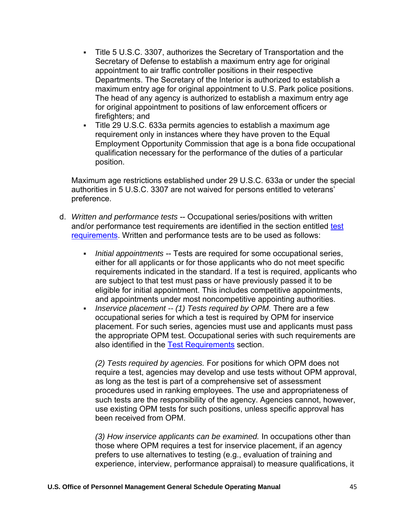- Title 5 U.S.C. 3307, authorizes the Secretary of Transportation and the Secretary of Defense to establish a maximum entry age for original appointment to air traffic controller positions in their respective Departments. The Secretary of the Interior is authorized to establish a maximum entry age for original appointment to U.S. Park police positions. The head of any agency is authorized to establish a maximum entry age for original appointment to positions of law enforcement officers or firefighters; and
- Title 29 U.S.C. 633a permits agencies to establish a maximum age requirement only in instances where they have proven to the Equal Employment Opportunity Commission that age is a bona fide occupational qualification necessary for the performance of the duties of a particular position.

Maximum age restrictions established under 29 U.S.C. 633a or under the special authorities in 5 U.S.C. 3307 are not waived for persons entitled to veterans' preference.

- d. *Written and performance tests* -- Occupational series/positions with written and/or performance [test](https://www.opm.gov/policy-data-oversight/classification-qualifications/general-schedule-qualification-policies/tabs/test-requirements/) requirements are identified in the section entitled test [requirements.](https://www.opm.gov/policy-data-oversight/classification-qualifications/general-schedule-qualification-policies/tabs/test-requirements/) Written and performance tests are to be used as follows:
	- **Initial appointments -- Tests are required for some occupational series,** either for all applicants or for those applicants who do not meet specific requirements indicated in the standard. If a test is required, applicants who are subject to that test must pass or have previously passed it to be eligible for initial appointment. This includes competitive appointments, and appointments under most noncompetitive appointing authorities.
	- *Inservice placement -- (1) Tests required by OPM.* There are a few occupational series for which a test is required by OPM for inservice placement. For such series, agencies must use and applicants must pass the appropriate OPM test. Occupational series with such requirements are also identified in the [Test Requirements](https://www.opm.gov/policy-data-oversight/classification-qualifications/general-schedule-qualification-policies/tabs/test-requirements/) section.

*(2) Tests required by agencies.* For positions for which OPM does not require a test, agencies may develop and use tests without OPM approval, as long as the test is part of a comprehensive set of assessment procedures used in ranking employees. The use and appropriateness of such tests are the responsibility of the agency. Agencies cannot, however, use existing OPM tests for such positions, unless specific approval has been received from OPM.

*(3) How inservice applicants can be examined.* In occupations other than those where OPM requires a test for inservice placement, if an agency prefers to use alternatives to testing (e.g., evaluation of training and experience, interview, performance appraisal) to measure qualifications, it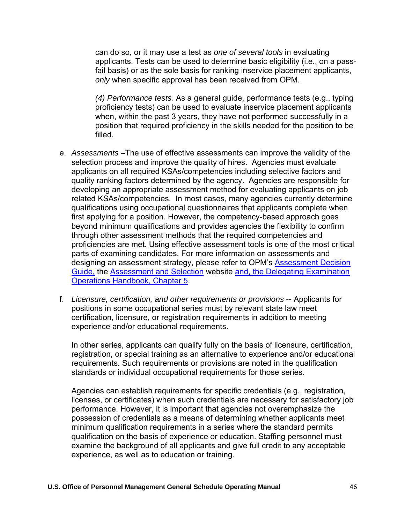can do so, or it may use a test as *one of several tools* in evaluating applicants. Tests can be used to determine basic eligibility (i.e., on a passfail basis) or as the sole basis for ranking inservice placement applicants, *only* when specific approval has been received from OPM.

*(4) Performance tests.* As a general guide, performance tests (e.g., typing proficiency tests) can be used to evaluate inservice placement applicants when, within the past 3 years, they have not performed successfully in a position that required proficiency in the skills needed for the position to be filled.

- e. *Assessments* –The use of effective assessments can improve the validity of the selection process and improve the quality of hires. Agencies must evaluate applicants on all required KSAs/competencies including selective factors and quality ranking factors determined by the agency. Agencies are responsible for developing an appropriate assessment method for evaluating applicants on job related KSAs/competencies. In most cases, many agencies currently determine qualifications using occupational questionnaires that applicants complete when first applying for a position. However, the competency-based approach goes beyond minimum qualifications and provides agencies the flexibility to confirm through other assessment methods that the required competencies and proficiencies are met. Using effective assessment tools is one of the most critical parts of examining candidates. For more information on assessments and designing an assessment strategy, please refer to OPM's [Assessment Decision](https://apps.opm.gov/ADT/Content.aspx?page=TOC) [Guide,](https://apps.opm.gov/ADT/Content.aspx?page=TOC) the [Assessment and Selection](https://www.opm.gov/policy-data-oversight/assessment-and-selection/) website [and, the Delegating Examination](https://www.opm.gov/policy-data-oversight/hiring-information/competitive-hiring/deo_handbook.pdf) [Operations Handbook, Chapter 5.](https://www.opm.gov/policy-data-oversight/hiring-information/competitive-hiring/deo_handbook.pdf)
- f. *Licensure, certification, and other requirements or provisions* -- Applicants for positions in some occupational series must by relevant state law meet certification, licensure, or registration requirements in addition to meeting experience and/or educational requirements.

In other series, applicants can qualify fully on the basis of licensure, certification, registration, or special training as an alternative to experience and/or educational requirements. Such requirements or provisions are noted in the qualification standards or individual occupational requirements for those series.

Agencies can establish requirements for specific credentials (e.g., registration, licenses, or certificates) when such credentials are necessary for satisfactory job performance. However, it is important that agencies not overemphasize the possession of credentials as a means of determining whether applicants meet minimum qualification requirements in a series where the standard permits qualification on the basis of experience or education. Staffing personnel must examine the background of all applicants and give full credit to any acceptable experience, as well as to education or training.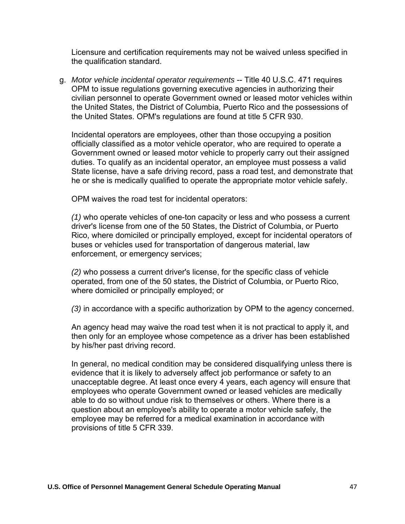Licensure and certification requirements may not be waived unless specified in the qualification standard.

g. *Motor vehicle incidental operator requirements* -- Title 40 U.S.C. 471 requires OPM to issue regulations governing executive agencies in authorizing their civilian personnel to operate Government owned or leased motor vehicles within the United States, the District of Columbia, Puerto Rico and the possessions of the United States. OPM's regulations are found at title 5 CFR 930.

Incidental operators are employees, other than those occupying a position officially classified as a motor vehicle operator, who are required to operate a Government owned or leased motor vehicle to properly carry out their assigned duties. To qualify as an incidental operator, an employee must possess a valid State license, have a safe driving record, pass a road test, and demonstrate that he or she is medically qualified to operate the appropriate motor vehicle safely.

OPM waives the road test for incidental operators:

*(1)* who operate vehicles of one-ton capacity or less and who possess a current driver's license from one of the 50 States, the District of Columbia, or Puerto Rico, where domiciled or principally employed, except for incidental operators of buses or vehicles used for transportation of dangerous material, law enforcement, or emergency services;

*(2)* who possess a current driver's license, for the specific class of vehicle operated, from one of the 50 states, the District of Columbia, or Puerto Rico, where domiciled or principally employed; or

*(3)* in accordance with a specific authorization by OPM to the agency concerned.

An agency head may waive the road test when it is not practical to apply it, and then only for an employee whose competence as a driver has been established by his/her past driving record.

In general, no medical condition may be considered disqualifying unless there is evidence that it is likely to adversely affect job performance or safety to an unacceptable degree. At least once every 4 years, each agency will ensure that employees who operate Government owned or leased vehicles are medically able to do so without undue risk to themselves or others. Where there is a question about an employee's ability to operate a motor vehicle safely, the employee may be referred for a medical examination in accordance with provisions of title 5 CFR 339.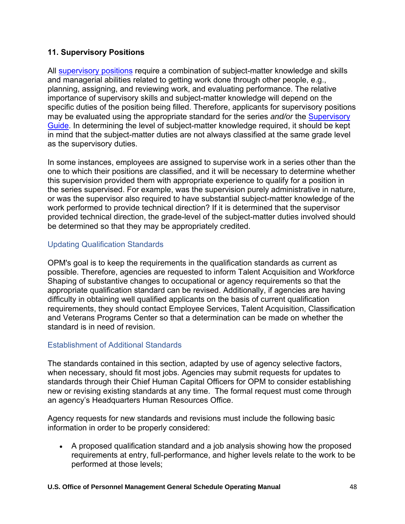### **11. Supervisory Positions**

Al[l supervisory positions](https://www.opm.gov/policy-data-oversight/classification-qualifications/general-schedule-qualification-standards/specialty-areas/supervisory-guide/) require a combination of subject-matter knowledge and skills and managerial abilities related to getting work done through other people, e.g., planning, assigning, and reviewing work, and evaluating performance. The relative importance of supervisory skills and subject-matter knowledge will depend on the specific duties of the position being filled. Therefore, applicants for supervisory positions may be evaluated using the appropriate standard for the series *and/or* the [Supervisory](https://www.opm.gov/policy-data-oversight/classification-qualifications/general-schedule-qualification-standards/specialty-areas/supervisory-guide/)  [Guide.](https://www.opm.gov/policy-data-oversight/classification-qualifications/general-schedule-qualification-standards/specialty-areas/supervisory-guide/) In determining the level of subject-matter knowledge required, it should be kept in mind that the subject-matter duties are not always classified at the same grade level as the supervisory duties.

In some instances, employees are assigned to supervise work in a series other than the one to which their positions are classified, and it will be necessary to determine whether this supervision provided them with appropriate experience to qualify for a position in the series supervised. For example, was the supervision purely administrative in nature, or was the supervisor also required to have substantial subject-matter knowledge of the work performed to provide technical direction? If it is determined that the supervisor provided technical direction, the grade-level of the subject-matter duties involved should be determined so that they may be appropriately credited.

## Updating Qualification Standards

OPM's goal is to keep the requirements in the qualification standards as current as possible. Therefore, agencies are requested to inform Talent Acquisition and Workforce Shaping of substantive changes to occupational or agency requirements so that the appropriate qualification standard can be revised. Additionally, if agencies are having difficulty in obtaining well qualified applicants on the basis of current qualification requirements, they should contact Employee Services, Talent Acquisition, Classification and Veterans Programs Center so that a determination can be made on whether the standard is in need of revision.

## Establishment of Additional Standards

The standards contained in this section, adapted by use of agency selective factors, when necessary, should fit most jobs. Agencies may submit requests for updates to standards through their Chief Human Capital Officers for OPM to consider establishing new or revising existing standards at any time. The formal request must come through an agency's Headquarters Human Resources Office.

Agency requests for new standards and revisions must include the following basic information in order to be properly considered:

• A proposed qualification standard and a job analysis showing how the proposed requirements at entry, full-performance, and higher levels relate to the work to be performed at those levels;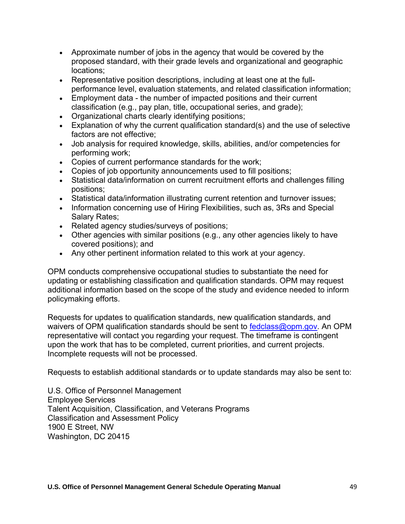- Approximate number of jobs in the agency that would be covered by the proposed standard, with their grade levels and organizational and geographic locations;
- Representative position descriptions, including at least one at the fullperformance level, evaluation statements, and related classification information;
- Employment data the number of impacted positions and their current classification (e.g., pay plan, title, occupational series, and grade);
- Organizational charts clearly identifying positions;
- Explanation of why the current qualification standard(s) and the use of selective factors are not effective;
- Job analysis for required knowledge, skills, abilities, and/or competencies for performing work;
- Copies of current performance standards for the work;
- Copies of job opportunity announcements used to fill positions;
- Statistical data/information on current recruitment efforts and challenges filling positions;
- Statistical data/information illustrating current retention and turnover issues;
- Information concerning use of Hiring Flexibilities, such as, 3Rs and Special Salary Rates;
- Related agency studies/surveys of positions;
- Other agencies with similar positions (e.g., any other agencies likely to have covered positions); and
- Any other pertinent information related to this work at your agency.

OPM conducts comprehensive occupational studies to substantiate the need for updating or establishing classification and qualification standards. OPM may request additional information based on the scope of the study and evidence needed to inform policymaking efforts.

Requests for updates to qualification standards, new qualification standards, and waivers of OPM qualification standards should be sent to [fedclass@opm.gov.](mailto:fedclass@opm.gov) An OPM representative will contact you regarding your request. The timeframe is contingent upon the work that has to be completed, current priorities, and current projects. Incomplete requests will not be processed.

Requests to establish additional standards or to update standards may also be sent to:

U.S. Office of Personnel Management Employee Services Talent Acquisition, Classification, and Veterans Programs Classification and Assessment Policy 1900 E Street, NW Washington, DC 20415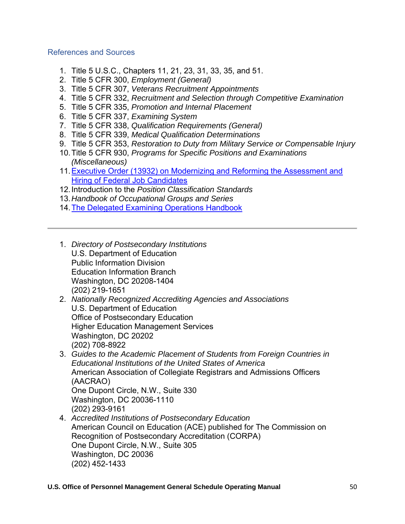### References and Sources

- 1. Title 5 U.S.C., Chapters 11, 21, 23, 31, 33, 35, and 51.
- 2. Title 5 CFR 300, *Employment (General)*
- 3. Title 5 CFR 307, *Veterans Recruitment Appointments*
- 4. Title 5 CFR 332, *Recruitment and Selection through Competitive Examination*
- 5. Title 5 CFR 335, *Promotion and Internal Placement*
- 6. Title 5 CFR 337, *Examining System*
- 7. Title 5 CFR 338, *Qualification Requirements (General)*
- 8. Title 5 CFR 339, *Medical Qualification Determinations*
- 9. Title 5 CFR 353, *Restoration to Duty from Military Service or Compensable Injury*
- 10.Title 5 CFR 930, *Programs for Specific Positions and Examinations (Miscellaneous)*
- 11[.Executive Order \(13932\) on Modernizing and Reforming the Assessment and](https://www.whitehouse.gov/presidential-actions/executive-order-modernizing-reforming-assessment-hiring-federal-job-candidates/) [Hiring of Federal Job Candidates](https://www.whitehouse.gov/presidential-actions/executive-order-modernizing-reforming-assessment-hiring-federal-job-candidates/)
- 12.Introduction to the *Position Classification Standards*
- 13.*Handbook of Occupational Groups and Series*
- 14[.The Delegated Examining Operations Handbook](https://www.opm.gov/policy-data-oversight/hiring-information/competitive-hiring/deo_handbook.pdf)
- 1. *Directory of Postsecondary Institutions* U.S. Department of Education Public Information Division Education Information Branch Washington, DC 20208-1404 (202) 219-1651
- 2. *Nationally Recognized Accrediting Agencies and Associations* U.S. Department of Education Office of Postsecondary Education Higher Education Management Services Washington, DC 20202 (202) 708-8922
- 3. *Guides to the Academic Placement of Students from Foreign Countries in Educational Institutions of the United States of America* American Association of Collegiate Registrars and Admissions Officers (AACRAO) One Dupont Circle, N.W., Suite 330

Washington, DC 20036-1110 (202) 293-9161

4. *Accredited Institutions of Postsecondary Education* American Council on Education (ACE) published for The Commission on Recognition of Postsecondary Accreditation (CORPA) One Dupont Circle, N.W., Suite 305 Washington, DC 20036 (202) 452-1433